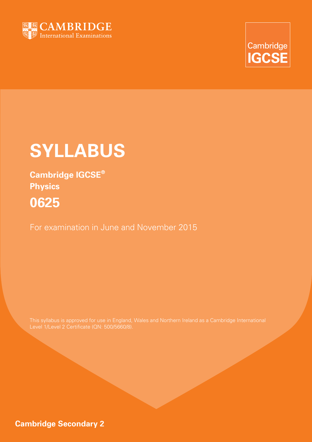



# **SYLLABUS**

**Cambridge IGCSE® Physics 0625**

For examination in June and November 2015

This syllabus is approved for use in England, Wales and Northern Ireland as a Cambridge International Level 1/Level 2 Certificate (QN: 500/5660/8).

**Cambridge Secondary 2**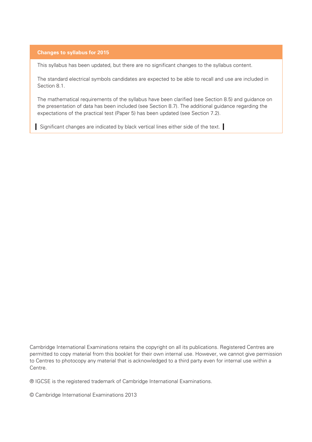#### **Changes to syllabus for 2015**

This syllabus has been updated, but there are no significant changes to the syllabus content.

The standard electrical symbols candidates are expected to be able to recall and use are included in Section 8.1.

The mathematical requirements of the syllabus have been clarified (see Section 8.5) and guidance on the presentation of data has been included (see Section 8.7). The additional guidance regarding the expectations of the practical test (Paper 5) has been updated (see Section 7.2).

Significant changes are indicated by black vertical lines either side of the text.

Cambridge International Examinations retains the copyright on all its publications. Registered Centres are permitted to copy material from this booklet for their own internal use. However, we cannot give permission to Centres to photocopy any material that is acknowledged to a third party even for internal use within a Centre.

® IGCSE is the registered trademark of Cambridge International Examinations.

© Cambridge International Examinations 2013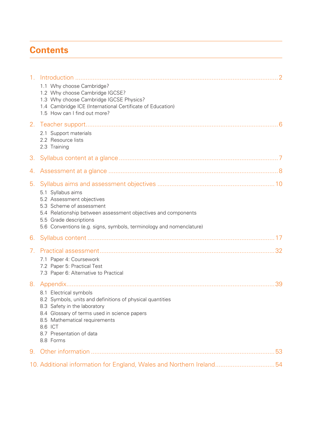## **Contents**

| 1 <sub>1</sub> |                                                                                                                                                                                                                                                          |
|----------------|----------------------------------------------------------------------------------------------------------------------------------------------------------------------------------------------------------------------------------------------------------|
|                | 1.1 Why choose Cambridge?<br>1.2 Why choose Cambridge IGCSE?<br>1.3 Why choose Cambridge IGCSE Physics?<br>1.4 Cambridge ICE (International Certificate of Education)<br>1.5 How can I find out more?                                                    |
| 2.             | 2.1 Support materials<br>2.2 Resource lists<br>2.3 Training                                                                                                                                                                                              |
| 3.             |                                                                                                                                                                                                                                                          |
| 4.             |                                                                                                                                                                                                                                                          |
| 5.             | 5.1 Syllabus aims<br>5.2 Assessment objectives<br>5.3 Scheme of assessment<br>5.4 Relationship between assessment objectives and components<br>5.5 Grade descriptions                                                                                    |
|                | 5.6 Conventions (e.g. signs, symbols, terminology and nomenclature)                                                                                                                                                                                      |
| 6.             |                                                                                                                                                                                                                                                          |
| 7 <sub>1</sub> |                                                                                                                                                                                                                                                          |
|                | 7.1 Paper 4: Coursework<br>7.2 Paper 5: Practical Test<br>7.3 Paper 6: Alternative to Practical                                                                                                                                                          |
|                | 8.1 Electrical symbols<br>8.2 Symbols, units and definitions of physical quantities<br>8.3 Safety in the laboratory<br>8.4 Glossary of terms used in science papers<br>8.5 Mathematical requirements<br>8.6 ICT<br>8.7 Presentation of data<br>8.8 Forms |
| 9.             |                                                                                                                                                                                                                                                          |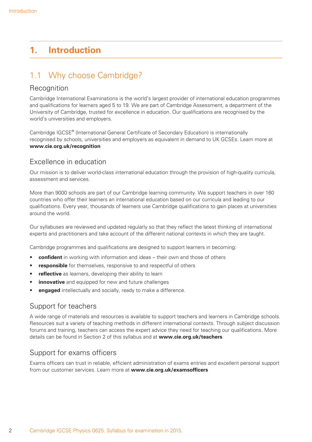## **1. Introduction**

## 1.1 Why choose Cambridge?

#### Recognition

Cambridge International Examinations is the world's largest provider of international education programmes and qualifications for learners aged 5 to 19. We are part of Cambridge Assessment, a department of the University of Cambridge, trusted for excellence in education. Our qualifications are recognised by the world's universities and employers.

Cambridge IGCSE® (International General Certificate of Secondary Education) is internationally recognised by schools, universities and employers as equivalent in demand to UK GCSEs. Learn more at **www.cie.org.uk/recognition**

## Excellence in education

Our mission is to deliver world-class international education through the provision of high-quality curricula, assessment and services.

More than 9000 schools are part of our Cambridge learning community. We support teachers in over 160 countries who offer their learners an international education based on our curricula and leading to our qualifications. Every year, thousands of learners use Cambridge qualifications to gain places at universities around the world.

Our syllabuses are reviewed and updated regularly so that they reflect the latest thinking of international experts and practitioners and take account of the different national contexts in which they are taught.

Cambridge programmes and qualifications are designed to support learners in becoming:

- **confident** in working with information and ideas their own and those of others
- **responsible** for themselves, responsive to and respectful of others
- **reflective** as learners, developing their ability to learn
- **innovative** and equipped for new and future challenges
- **engaged** intellectually and socially, ready to make a difference.

#### Support for teachers

A wide range of materials and resources is available to support teachers and learners in Cambridge schools. Resources suit a variety of teaching methods in different international contexts. Through subject discussion forums and training, teachers can access the expert advice they need for teaching our qualifications. More details can be found in Section 2 of this syllabus and at **www.cie.org.uk/teachers**

## Support for exams officers

Exams officers can trust in reliable, efficient administration of exams entries and excellent personal support from our customer services. Learn more at **www.cie.org.uk/examsofficers**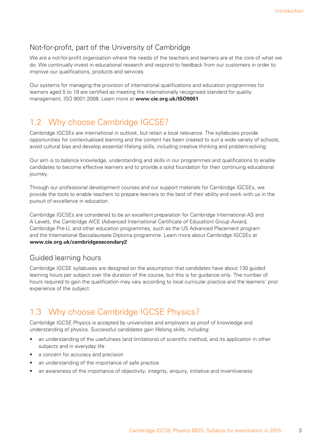## Not-for-profit, part of the University of Cambridge

We are a not-for-profit organisation where the needs of the teachers and learners are at the core of what we do. We continually invest in educational research and respond to feedback from our customers in order to improve our qualifications, products and services.

Our systems for managing the provision of international qualifications and education programmes for learners aged 5 to 19 are certified as meeting the internationally recognised standard for quality management, ISO 9001:2008. Learn more at **www.cie.org.uk/ISO9001**

## 1.2 Why choose Cambridge IGCSE?

Cambridge IGCSEs are international in outlook, but retain a local relevance. The syllabuses provide opportunities for contextualised learning and the content has been created to suit a wide variety of schools, avoid cultural bias and develop essential lifelong skills, including creative thinking and problem-solving.

Our aim is to balance knowledge, understanding and skills in our programmes and qualifications to enable candidates to become effective learners and to provide a solid foundation for their continuing educational journey.

Through our professional development courses and our support materials for Cambridge IGCSEs, we provide the tools to enable teachers to prepare learners to the best of their ability and work with us in the pursuit of excellence in education.

Cambridge IGCSEs are considered to be an excellent preparation for Cambridge International AS and A Levels, the Cambridge AICE (Advanced International Certificate of Education) Group Award, Cambridge Pre-U, and other education programmes, such as the US Advanced Placement program and the International Baccalaureate Diploma programme. Learn more about Cambridge IGCSEs at **www.cie.org.uk/cambridgesecondary2**

## Guided learning hours

Cambridge IGCSE syllabuses are designed on the assumption that candidates have about 130 guided learning hours per subject over the duration of the course, but this is for guidance only. The number of hours required to gain the qualification may vary according to local curricular practice and the learners' prior experience of the subject.

## 1.3 Why choose Cambridge IGCSE Physics?

Cambridge IGCSE Physics is accepted by universities and employers as proof of knowledge and understanding of physics. Successful candidates gain lifelong skills, including:

- an understanding of the usefulness (and limitations) of scientific method, and its application in other subjects and in everyday life
- a concern for accuracy and precision
- an understanding of the importance of safe practice
- an awareness of the importance of objectivity, integrity, enquiry, initiative and inventiveness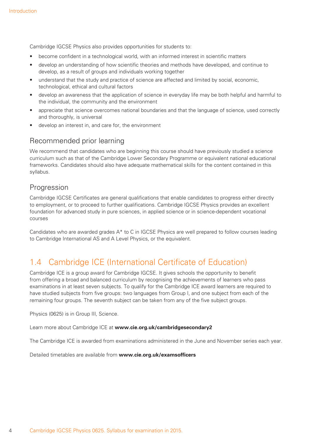Cambridge IGCSE Physics also provides opportunities for students to:

- become confident in a technological world, with an informed interest in scientific matters
- develop an understanding of how scientific theories and methods have developed, and continue to develop, as a result of groups and individuals working together
- understand that the study and practice of science are affected and limited by social, economic, technological, ethical and cultural factors
- develop an awareness that the application of science in everyday life may be both helpful and harmful to the individual, the community and the environment
- appreciate that science overcomes national boundaries and that the language of science, used correctly and thoroughly, is universal
- develop an interest in, and care for, the environment

#### Recommended prior learning

We recommend that candidates who are beginning this course should have previously studied a science curriculum such as that of the Cambridge Lower Secondary Programme or equivalent national educational frameworks. Candidates should also have adequate mathematical skills for the content contained in this syllabus.

#### Progression

Cambridge IGCSE Certificates are general qualifications that enable candidates to progress either directly to employment, or to proceed to further qualifications. Cambridge IGCSE Physics provides an excellent foundation for advanced study in pure sciences, in applied science or in science-dependent vocational courses

Candidates who are awarded grades A\* to C in IGCSE Physics are well prepared to follow courses leading to Cambridge International AS and A Level Physics, or the equivalent.

## 1.4 Cambridge ICE (International Certificate of Education)

Cambridge ICE is a group award for Cambridge IGCSE. It gives schools the opportunity to benefit from offering a broad and balanced curriculum by recognising the achievements of learners who pass examinations in at least seven subjects. To qualify for the Cambridge ICE award learners are required to have studied subjects from five groups: two languages from Group I, and one subject from each of the remaining four groups. The seventh subject can be taken from any of the five subject groups.

Physics (0625) is in Group III, Science.

Learn more about Cambridge ICE at **www.cie.org.uk/cambridgesecondary2**

The Cambridge ICE is awarded from examinations administered in the June and November series each year.

Detailed timetables are available from **www.cie.org.uk/examsofficers**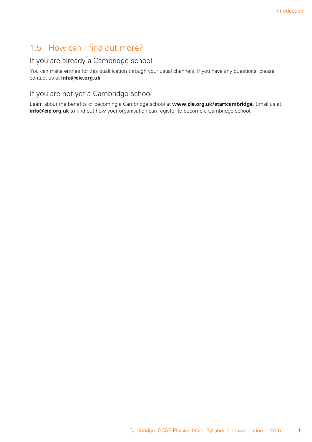## 1.5 How can I find out more?

#### If you are already a Cambridge school

You can make entries for this qualification through your usual channels. If you have any questions, please contact us at **info@cie.org.uk**

#### If you are not yet a Cambridge school

Learn about the benefits of becoming a Cambridge school at **www.cie.org.uk/startcambridge**. Email us at **info@cie.org.uk** to find out how your organisation can register to become a Cambridge school.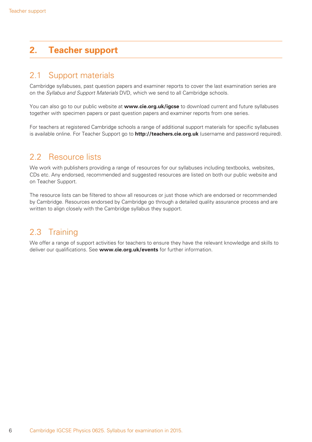## **2. Teacher support**

## 2.1 Support materials

Cambridge syllabuses, past question papers and examiner reports to cover the last examination series are on the *Syllabus and Support Materials* DVD, which we send to all Cambridge schools.

You can also go to our public website at **www.cie.org.uk/igcse** to download current and future syllabuses together with specimen papers or past question papers and examiner reports from one series.

For teachers at registered Cambridge schools a range of additional support materials for specific syllabuses is available online. For Teacher Support go to **http://teachers.cie.org.uk** (username and password required).

## 2.2 Resource lists

We work with publishers providing a range of resources for our syllabuses including textbooks, websites, CDs etc. Any endorsed, recommended and suggested resources are listed on both our public website and on Teacher Support.

The resource lists can be filtered to show all resources or just those which are endorsed or recommended by Cambridge. Resources endorsed by Cambridge go through a detailed quality assurance process and are written to align closely with the Cambridge syllabus they support.

## 2.3 Training

We offer a range of support activities for teachers to ensure they have the relevant knowledge and skills to deliver our qualifications. See **www.cie.org.uk/events** for further information.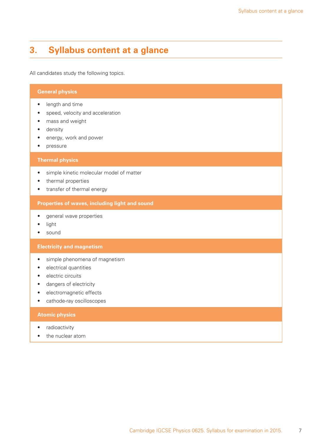## **3. Syllabus content at a glance**

All candidates study the following topics.

#### **General physics**

- length and time
- speed, velocity and acceleration
- mass and weight
- density
- energy, work and power
- pressure

#### **Thermal physics**

- simple kinetic molecular model of matter
- thermal properties
- transfer of thermal energy

#### **Properties of waves, including light and sound**

- general wave properties
- light
- sound

#### **Electricity and magnetism**

- simple phenomena of magnetism
- electrical quantities
- electric circuits
- dangers of electricity
- electromagnetic effects
- cathode-ray oscilloscopes

#### **Atomic physics**

- radioactivity
- the nuclear atom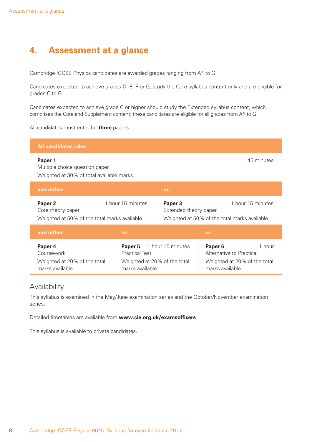## **4. Assessment at a glance**

Cambridge IGCSE Physics candidates are awarded grades ranging from A\* to G.

Candidates expected to achieve grades D, E, F or G, study the Core syllabus content only and are eligible for grades C to G.

Candidates expected to achieve grade C or higher should study the Extended syllabus content, which comprises the Core and Supplement content; these candidates are eligible for all grades from A\* to G.

All candidates must enter for **three** papers.

| <b>All candidates take:</b>                                                                                  |                                                                                     |                                  |                                                                                                   |                   |
|--------------------------------------------------------------------------------------------------------------|-------------------------------------------------------------------------------------|----------------------------------|---------------------------------------------------------------------------------------------------|-------------------|
| 45 minutes<br>Paper 1<br>Multiple choice question paper<br>Weighted at 30% of total available marks          |                                                                                     |                                  |                                                                                                   |                   |
| and either:                                                                                                  |                                                                                     | or:                              |                                                                                                   |                   |
| Paper <sub>2</sub><br>1 hour 15 minutes<br>Core theory paper<br>Weighted at 50% of the total marks available |                                                                                     | Paper 3<br>Extended theory paper | Weighted at 50% of the total marks available                                                      | 1 hour 15 minutes |
| and either:                                                                                                  | or:                                                                                 |                                  | or:                                                                                               |                   |
| Paper 4<br>Coursework<br>Weighted at 20% of the total<br>marks available                                     | Paper 5<br><b>Practical Test</b><br>Weighted at 20% of the total<br>marks available | 1 hour 15 minutes                | Paper <sub>6</sub><br>Alternative to Practical<br>Weighted at 20% of the total<br>marks available | 1 hour            |

#### Availability

This syllabus is examined in the May/June examination series and the October/November examination series.

Detailed timetables are available from **www.cie.org.uk/examsofficers**

This syllabus is available to private candidates.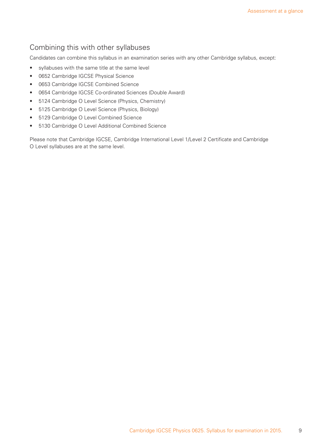## Combining this with other syllabuses

Candidates can combine this syllabus in an examination series with any other Cambridge syllabus, except:

- syllabuses with the same title at the same level
- 0652 Cambridge IGCSE Physical Science
- 0653 Cambridge IGCSE Combined Science
- 0654 Cambridge IGCSE Co-ordinated Sciences (Double Award)
- 5124 Cambridge O Level Science (Physics, Chemistry)
- 5125 Cambridge O Level Science (Physics, Biology)
- 5129 Cambridge O Level Combined Science
- 5130 Cambridge O Level Additional Combined Science

Please note that Cambridge IGCSE, Cambridge International Level 1/Level 2 Certificate and Cambridge O Level syllabuses are at the same level.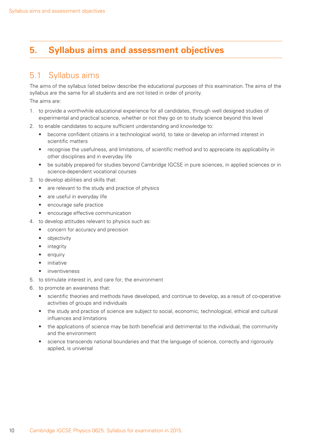## **5. Syllabus aims and assessment objectives**

## 5.1 Syllabus aims

The aims of the syllabus listed below describe the educational purposes of this examination. The aims of the syllabus are the same for all students and are not listed in order of priority. The aims are:

- 1. to provide a worthwhile educational experience for all candidates, through well designed studies of experimental and practical science, whether or not they go on to study science beyond this level
- 2. to enable candidates to acquire sufficient understanding and knowledge to:
	- become confident citizens in a technological world, to take or develop an informed interest in scientific matters
	- recognise the usefulness, and limitations, of scientific method and to appreciate its applicability in other disciplines and in everyday life
	- be suitably prepared for studies beyond Cambridge IGCSE in pure sciences, in applied sciences or in science-dependent vocational courses
- 3. to develop abilities and skills that:
	- are relevant to the study and practice of physics
	- are useful in everyday life
	- encourage safe practice
	- encourage effective communication
- 4. to develop attitudes relevant to physics such as:
	- concern for accuracy and precision
	- objectivity
	- integrity
	- enquiry
	- initiative
	- inventiveness
- 5. to stimulate interest in, and care for, the environment
- 6. to promote an awareness that:
	- scientific theories and methods have developed, and continue to develop, as a result of co-operative activities of groups and individuals
	- the study and practice of science are subject to social, economic, technological, ethical and cultural influences and limitations
	- the applications of science may be both beneficial and detrimental to the individual, the community and the environment
	- science transcends national boundaries and that the language of science, correctly and rigorously applied, is universal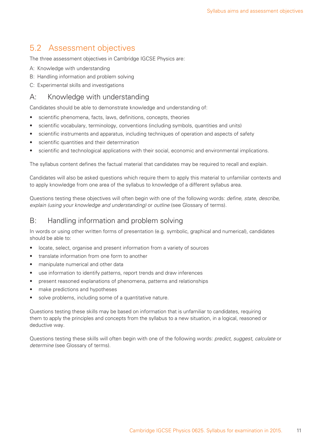## 5.2 Assessment objectives

The three assessment objectives in Cambridge IGCSE Physics are:

- A: Knowledge with understanding
- B: Handling information and problem solving
- C: Experimental skills and investigations

#### A: Knowledge with understanding

Candidates should be able to demonstrate knowledge and understanding of:

- scientific phenomena, facts, laws, definitions, concepts, theories
- scientific vocabulary, terminology, conventions (including symbols, quantities and units)
- scientific instruments and apparatus, including techniques of operation and aspects of safety
- scientific quantities and their determination
- scientific and technological applications with their social, economic and environmental implications.

The syllabus content defines the factual material that candidates may be required to recall and explain.

Candidates will also be asked questions which require them to apply this material to unfamiliar contexts and to apply knowledge from one area of the syllabus to knowledge of a different syllabus area.

Questions testing these objectives will often begin with one of the following words: *define, state, describe, explain (using your knowledge and understanding)* or *outline* (see Glossary of terms).

#### B: Handling information and problem solving

In words or using other written forms of presentation (e.g. symbolic, graphical and numerical), candidates should be able to:

- locate, select, organise and present information from a variety of sources
- translate information from one form to another
- manipulate numerical and other data
- use information to identify patterns, report trends and draw inferences
- present reasoned explanations of phenomena, patterns and relationships
- make predictions and hypotheses
- solve problems, including some of a quantitative nature.

Questions testing these skills may be based on information that is unfamiliar to candidates, requiring them to apply the principles and concepts from the syllabus to a new situation, in a logical, reasoned or deductive way.

Questions testing these skills will often begin with one of the following words: *predict, suggest, calculate* or *determine* (see Glossary of terms).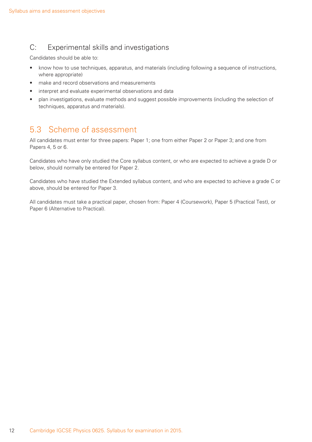## C: Experimental skills and investigations

Candidates should be able to:

- know how to use techniques, apparatus, and materials (including following a sequence of instructions, where appropriate)
- make and record observations and measurements
- interpret and evaluate experimental observations and data
- plan investigations, evaluate methods and suggest possible improvements (including the selection of techniques, apparatus and materials).

## 5.3 Scheme of assessment

All candidates must enter for three papers: Paper 1; one from either Paper 2 or Paper 3; and one from Papers 4, 5 or 6.

Candidates who have only studied the Core syllabus content, or who are expected to achieve a grade D or below, should normally be entered for Paper 2.

Candidates who have studied the Extended syllabus content, and who are expected to achieve a grade C or above, should be entered for Paper 3.

All candidates must take a practical paper, chosen from: Paper 4 (Coursework), Paper 5 (Practical Test), or Paper 6 (Alternative to Practical).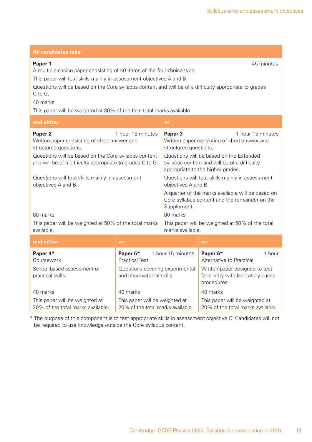| All valluludl <del>o</del> s lah <del>o</del> .                                                                                                                                                                                                                                                                                                                                                    |                                                                                                                                                                                      |                                                                                                                                                                                                                                                                                                                                                                                                                                                                                                                          |                                                                                                                                                                                                                         |  |
|----------------------------------------------------------------------------------------------------------------------------------------------------------------------------------------------------------------------------------------------------------------------------------------------------------------------------------------------------------------------------------------------------|--------------------------------------------------------------------------------------------------------------------------------------------------------------------------------------|--------------------------------------------------------------------------------------------------------------------------------------------------------------------------------------------------------------------------------------------------------------------------------------------------------------------------------------------------------------------------------------------------------------------------------------------------------------------------------------------------------------------------|-------------------------------------------------------------------------------------------------------------------------------------------------------------------------------------------------------------------------|--|
| Paper 1<br>45 minutes<br>A multiple-choice paper consisting of 40 items of the four-choice type.<br>This paper will test skills mainly in assessment objectives A and B.<br>Questions will be based on the Core syllabus content and will be of a difficulty appropriate to grades<br>C to G.<br>40 marks<br>This paper will be weighted at 30% of the final total marks available.                |                                                                                                                                                                                      |                                                                                                                                                                                                                                                                                                                                                                                                                                                                                                                          |                                                                                                                                                                                                                         |  |
| and either:                                                                                                                                                                                                                                                                                                                                                                                        |                                                                                                                                                                                      | or:                                                                                                                                                                                                                                                                                                                                                                                                                                                                                                                      |                                                                                                                                                                                                                         |  |
| 1 hour 15 minutes<br>Paper <sub>2</sub><br>Written paper consisting of short-answer and<br>structured questions.<br>Questions will be based on the Core syllabus content<br>and will be of a difficulty appropriate to grades C to G.<br>Questions will test skills mainly in assessment<br>objectives A and B.<br>80 marks<br>This paper will be weighted at 50% of the total marks<br>available. |                                                                                                                                                                                      | Paper 3<br>1 hour 15 minutes<br>Written paper consisting of short-answer and<br>structured questions.<br>Questions will be based on the Extended<br>syllabus content and will be of a difficulty<br>appropriate to the higher grades.<br>Questions will test skills mainly in assessment<br>objectives A and B.<br>A quarter of the marks available will be based on<br>Core syllabus content and the remainder on the<br>Supplement.<br>80 marks<br>This paper will be weighted at 50% of the total<br>marks available. |                                                                                                                                                                                                                         |  |
| and either:                                                                                                                                                                                                                                                                                                                                                                                        | or:                                                                                                                                                                                  |                                                                                                                                                                                                                                                                                                                                                                                                                                                                                                                          | or:                                                                                                                                                                                                                     |  |
| Paper 4*<br>Coursework<br>School-based assessment of<br>practical skills.<br>48 marks<br>This paper will be weighted at<br>20% of the total marks available.                                                                                                                                                                                                                                       | Paper 5*<br><b>Practical Test</b><br>Questions covering experimental<br>and observational skills.<br>40 marks<br>This paper will be weighted at<br>20% of the total marks available. | 1 hour 15 minutes                                                                                                                                                                                                                                                                                                                                                                                                                                                                                                        | Paper 6*<br>1 hour<br>Alternative to Practical<br>Written paper designed to test<br>familiarity with laboratory based<br>procedures.<br>40 marks<br>This paper will be weighted at<br>20% of the total marks available. |  |

**All candidates take:** 

\* The purpose of this component is to test appropriate skills in assessment objective C. Candidates will not be required to use knowledge outside the Core syllabus content.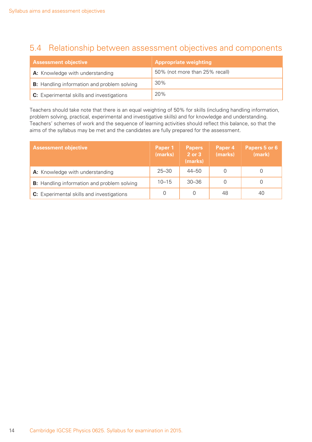## 5.4 Relationship between assessment objectives and components

| <b>Assessment objective</b>                        | <b>Appropriate weighting</b>   |
|----------------------------------------------------|--------------------------------|
| A: Knowledge with understanding                    | 50% (not more than 25% recall) |
| <b>B:</b> Handling information and problem solving | 30%                            |
| C: Experimental skills and investigations          | 20%                            |

Teachers should take note that there is an equal weighting of 50% for skills (including handling information, problem solving, practical, experimental and investigative skills) and for knowledge and understanding. Teachers' schemes of work and the sequence of learning activities should reflect this balance, so that the aims of the syllabus may be met and the candidates are fully prepared for the assessment.

| <b>Assessment objective</b>                        | Paper 1<br>(marks) | <b>Papers</b><br>2 or 3<br>(marks) | Paper 4<br>(marks) | Papers 5 or 6<br>(mark) |
|----------------------------------------------------|--------------------|------------------------------------|--------------------|-------------------------|
| A: Knowledge with understanding                    | $25 - 30$          | $44 - 50$                          |                    |                         |
| <b>B:</b> Handling information and problem solving | $10 - 15$          | $30 - 36$                          |                    |                         |
| C: Experimental skills and investigations          | 0                  |                                    | 48                 | 40                      |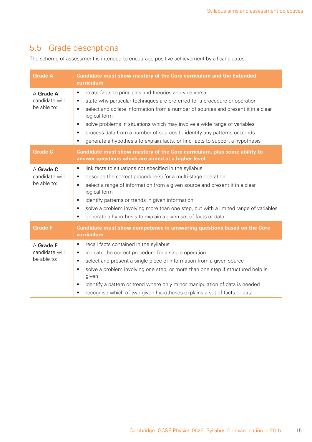## 5.5 Grade descriptions

The scheme of assessment is intended to encourage positive achievement by all candidates.

| <b>Grade A</b>                             | Candidate must show mastery of the Core curriculum and the Extended<br>curriculum                                                                                                                                                                                                                                                                                                                                                                                                                                                                                |
|--------------------------------------------|------------------------------------------------------------------------------------------------------------------------------------------------------------------------------------------------------------------------------------------------------------------------------------------------------------------------------------------------------------------------------------------------------------------------------------------------------------------------------------------------------------------------------------------------------------------|
| A Grade A<br>candidate will<br>be able to: | relate facts to principles and theories and vice versa<br>$\bullet$<br>state why particular techniques are preferred for a procedure or operation<br>$\bullet$<br>select and collate information from a number of sources and present it in a clear<br>$\bullet$<br>logical form<br>solve problems in situations which may involve a wide range of variables<br>$\bullet$<br>process data from a number of sources to identify any patterns or trends<br>$\bullet$<br>generate a hypothesis to explain facts, or find facts to support a hypothesis<br>$\bullet$ |
| <b>Grade C</b>                             | Candidate must show mastery of the Core curriculum, plus some ability to<br>answer questions which are aimed at a higher level.                                                                                                                                                                                                                                                                                                                                                                                                                                  |
| A Grade C<br>candidate will<br>be able to: | link facts to situations not specified in the syllabus<br>$\bullet$<br>describe the correct procedure(s) for a multi-stage operation<br>$\bullet$<br>select a range of information from a given source and present it in a clear<br>$\bullet$<br>logical form<br>identify patterns or trends in given information<br>$\bullet$<br>solve a problem involving more than one step, but with a limited range of variables<br>$\bullet$<br>generate a hypothesis to explain a given set of facts or data<br>$\bullet$                                                 |
| <b>Grade F</b>                             | Candidate must show competence in answering questions based on the Core<br>curriculum.                                                                                                                                                                                                                                                                                                                                                                                                                                                                           |
| A Grade F<br>candidate will<br>be able to: | recall facts contained in the syllabus<br>$\bullet$<br>indicate the correct procedure for a single operation<br>$\bullet$<br>select and present a single piece of information from a given source<br>$\bullet$<br>solve a problem involving one step, or more than one step if structured help is<br>$\bullet$<br>given<br>identify a pattern or trend where only minor manipulation of data is needed<br>$\bullet$<br>recognise which of two given hypotheses explains a set of facts or data<br>$\bullet$                                                      |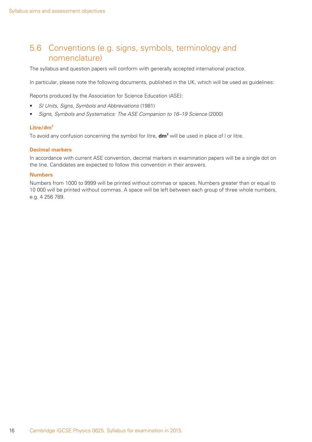## 5.6 Conventions (e.g. signs, symbols, terminology and nomenclature)

The syllabus and question papers will conform with generally accepted international practice.

In particular, please note the following documents, published in the UK, which will be used as guidelines:

Reports produced by the Association for Science Education (ASE):

- *SI Units, Signs, Symbols and Abbreviations* (1981)
- *Signs, Symbols and Systematics: The ASE Companion to 16–19 Science* (2000)

#### **Litre/dm3**

To avoid any confusion concerning the symbol for litre, **dm<sup>3</sup>** will be used in place of l or litre.

#### **Decimal markers**

In accordance with current ASE convention, decimal markers in examination papers will be a single dot on the line. Candidates are expected to follow this convention in their answers.

#### **Numbers**

Numbers from 1000 to 9999 will be printed without commas or spaces. Numbers greater than or equal to 10 000 will be printed without commas. A space will be left between each group of three whole numbers, e.g. 4 256 789.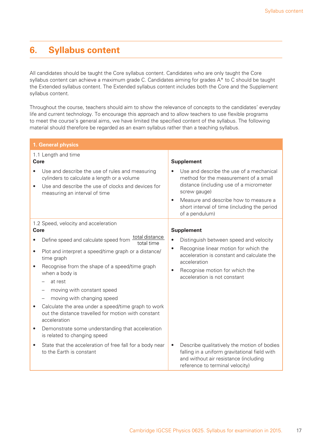## **6. Syllabus content**

All candidates should be taught the Core syllabus content. Candidates who are only taught the Core syllabus content can achieve a maximum grade C. Candidates aiming for grades A\* to C should be taught the Extended syllabus content. The Extended syllabus content includes both the Core and the Supplement syllabus content.

Throughout the course, teachers should aim to show the relevance of concepts to the candidates' everyday life and current technology. To encourage this approach and to allow teachers to use flexible programs to meet the course's general aims, we have limited the specified content of the syllabus. The following material should therefore be regarded as an exam syllabus rather than a teaching syllabus.

|                        | 1. General physics                                                                                                                                                                                                                                                                                          |                                                                                                                                                                                                                                                                      |  |  |
|------------------------|-------------------------------------------------------------------------------------------------------------------------------------------------------------------------------------------------------------------------------------------------------------------------------------------------------------|----------------------------------------------------------------------------------------------------------------------------------------------------------------------------------------------------------------------------------------------------------------------|--|--|
| <b>Core</b>            | 1.1 Length and time                                                                                                                                                                                                                                                                                         | <b>Supplement</b>                                                                                                                                                                                                                                                    |  |  |
| $\bullet$              | Use and describe the use of rules and measuring<br>cylinders to calculate a length or a volume<br>Use and describe the use of clocks and devices for<br>measuring an interval of time                                                                                                                       | Use and describe the use of a mechanical<br>method for the measurement of a small<br>distance (including use of a micrometer<br>screw gauge)<br>Measure and describe how to measure a<br>$\bullet$<br>short interval of time (including the period<br>of a pendulum) |  |  |
| <b>Core</b>            | 1.2 Speed, velocity and acceleration                                                                                                                                                                                                                                                                        | <b>Supplement</b>                                                                                                                                                                                                                                                    |  |  |
| $\bullet$<br>$\bullet$ | total distance<br>Define speed and calculate speed from<br>total time<br>Plot and interpret a speed/time graph or a distance/<br>time graph<br>Recognise from the shape of a speed/time graph<br>when a body is<br>at rest<br>moving with constant speed<br>$\qquad \qquad -$<br>moving with changing speed | Distinguish between speed and velocity<br>$\bullet$<br>Recognise linear motion for which the<br>$\bullet$<br>acceleration is constant and calculate the<br>acceleration<br>Recognise motion for which the<br>$\bullet$<br>acceleration is not constant               |  |  |
| $\bullet$              | Calculate the area under a speed/time graph to work<br>out the distance travelled for motion with constant<br>acceleration                                                                                                                                                                                  |                                                                                                                                                                                                                                                                      |  |  |
| $\bullet$              | Demonstrate some understanding that acceleration<br>is related to changing speed                                                                                                                                                                                                                            |                                                                                                                                                                                                                                                                      |  |  |
| $\bullet$              | State that the acceleration of free fall for a body near<br>to the Earth is constant                                                                                                                                                                                                                        | Describe qualitatively the motion of bodies<br>$\bullet$<br>falling in a uniform gravitational field with<br>and without air resistance (including<br>reference to terminal velocity)                                                                                |  |  |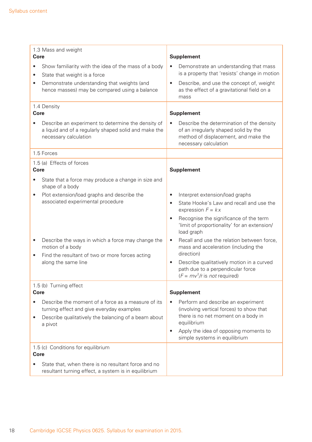| 1.3 Mass and weight<br>Core<br>Show familiarity with the idea of the mass of a body<br>$\bullet$                                                                                             | <b>Supplement</b><br>Demonstrate an understanding that mass                                                                                                                                                    |
|----------------------------------------------------------------------------------------------------------------------------------------------------------------------------------------------|----------------------------------------------------------------------------------------------------------------------------------------------------------------------------------------------------------------|
| State that weight is a force<br>$\bullet$                                                                                                                                                    | is a property that 'resists' change in motion                                                                                                                                                                  |
| Demonstrate understanding that weights (and<br>$\bullet$<br>hence masses) may be compared using a balance                                                                                    | Describe, and use the concept of, weight<br>$\bullet$<br>as the effect of a gravitational field on a<br>mass                                                                                                   |
| 1.4 Density<br><b>Core</b>                                                                                                                                                                   | <b>Supplement</b>                                                                                                                                                                                              |
| Describe an experiment to determine the density of<br>a liquid and of a regularly shaped solid and make the<br>necessary calculation                                                         | Describe the determination of the density<br>of an irregularly shaped solid by the<br>method of displacement, and make the<br>necessary calculation                                                            |
| 1.5 Forces                                                                                                                                                                                   |                                                                                                                                                                                                                |
| 1.5 (a) Effects of forces<br><b>Core</b>                                                                                                                                                     | <b>Supplement</b>                                                                                                                                                                                              |
| State that a force may produce a change in size and<br>$\bullet$<br>shape of a body                                                                                                          |                                                                                                                                                                                                                |
| Plot extension/load graphs and describe the<br>$\bullet$                                                                                                                                     | Interpret extension/load graphs<br>$\bullet$                                                                                                                                                                   |
| associated experimental procedure                                                                                                                                                            | State Hooke's Law and recall and use the<br>$\bullet$<br>expression $F = kx$                                                                                                                                   |
|                                                                                                                                                                                              | Recognise the significance of the term<br>'limit of proportionality' for an extension/<br>load graph                                                                                                           |
| Describe the ways in which a force may change the<br>$\bullet$<br>motion of a body<br>Find the resultant of two or more forces acting<br>$\bullet$                                           | Recall and use the relation between force,<br>$\bullet$<br>mass and acceleration (including the<br>direction)                                                                                                  |
| along the same line                                                                                                                                                                          | Describe qualitatively motion in a curved<br>path due to a perpendicular force<br>$(F = mv^2/r$ is <i>not</i> required)                                                                                        |
| 1.5 (b) Turning effect<br>Core                                                                                                                                                               | <b>Supplement</b>                                                                                                                                                                                              |
| Describe the moment of a force as a measure of its<br>$\bullet$<br>turning effect and give everyday examples<br>Describe qualitatively the balancing of a beam about<br>$\bullet$<br>a pivot | Perform and describe an experiment<br>(involving vertical forces) to show that<br>there is no net moment on a body in<br>equilibrium<br>Apply the idea of opposing moments to<br>simple systems in equilibrium |
| 1.5 (c) Conditions for equilibrium<br><b>Core</b>                                                                                                                                            |                                                                                                                                                                                                                |
| State that, when there is no resultant force and no<br>resultant turning effect, a system is in equilibrium                                                                                  |                                                                                                                                                                                                                |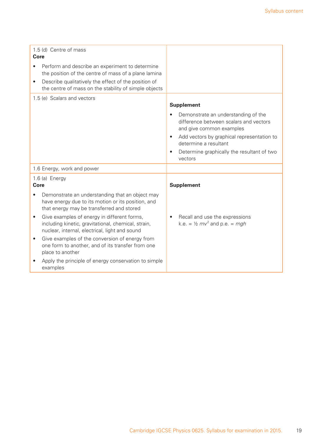| 1.5 (d) Centre of mass<br>Core<br>Perform and describe an experiment to determine<br>the position of the centre of mass of a plane lamina<br>Describe qualitatively the effect of the position of<br>$\bullet$<br>the centre of mass on the stability of simple objects                                                                                                                                                                                                                                                |                                                                                                                                                                                                                                                                             |
|------------------------------------------------------------------------------------------------------------------------------------------------------------------------------------------------------------------------------------------------------------------------------------------------------------------------------------------------------------------------------------------------------------------------------------------------------------------------------------------------------------------------|-----------------------------------------------------------------------------------------------------------------------------------------------------------------------------------------------------------------------------------------------------------------------------|
| 1.5 (e) Scalars and vectors                                                                                                                                                                                                                                                                                                                                                                                                                                                                                            | <b>Supplement</b><br>Demonstrate an understanding of the<br>difference between scalars and vectors<br>and give common examples<br>Add vectors by graphical representation to<br>$\bullet$<br>determine a resultant<br>Determine graphically the resultant of two<br>vectors |
| 1.6 Energy, work and power                                                                                                                                                                                                                                                                                                                                                                                                                                                                                             |                                                                                                                                                                                                                                                                             |
| 1.6 (a) Energy<br>Core                                                                                                                                                                                                                                                                                                                                                                                                                                                                                                 | <b>Supplement</b>                                                                                                                                                                                                                                                           |
| Demonstrate an understanding that an object may<br>have energy due to its motion or its position, and<br>that energy may be transferred and stored<br>Give examples of energy in different forms,<br>including kinetic, gravitational, chemical, strain,<br>nuclear, internal, electrical, light and sound<br>Give examples of the conversion of energy from<br>$\bullet$<br>one form to another, and of its transfer from one<br>place to another<br>Apply the principle of energy conservation to simple<br>examples | Recall and use the expressions<br>k.e. = $\frac{1}{2}mv^2$ and p.e. = mgh                                                                                                                                                                                                   |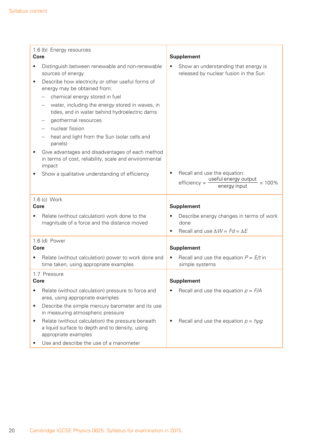| 1.6 (b) Energy resources                                                                                                                  |                                                                                                         |  |  |
|-------------------------------------------------------------------------------------------------------------------------------------------|---------------------------------------------------------------------------------------------------------|--|--|
| <b>Core</b>                                                                                                                               | <b>Supplement</b>                                                                                       |  |  |
| Distinguish between renewable and non-renewable<br>$\bullet$<br>sources of energy                                                         | Show an understanding that energy is<br>released by nuclear fusion in the Sun                           |  |  |
| Describe how electricity or other useful forms of<br>$\bullet$<br>energy may be obtained from:                                            |                                                                                                         |  |  |
| chemical energy stored in fuel                                                                                                            |                                                                                                         |  |  |
| water, including the energy stored in waves, in<br>tides, and in water behind hydroelectric dams                                          |                                                                                                         |  |  |
| geothermal resources                                                                                                                      |                                                                                                         |  |  |
| nuclear fission                                                                                                                           |                                                                                                         |  |  |
| heat and light from the Sun (solar cells and<br>panels)                                                                                   |                                                                                                         |  |  |
| Give advantages and disadvantages of each method<br>$\bullet$<br>in terms of cost, reliability, scale and environmental<br>impact         |                                                                                                         |  |  |
| Show a qualitative understanding of efficiency                                                                                            | Recall and use the equation:<br>useful energy output<br>$efficiency =$<br>$\times$ 100%<br>energy input |  |  |
|                                                                                                                                           |                                                                                                         |  |  |
| 1.6 (c) Work<br><b>Core</b>                                                                                                               | <b>Supplement</b>                                                                                       |  |  |
| Relate (without calculation) work done to the<br>magnitude of a force and the distance moved                                              | Describe energy changes in terms of work<br>done                                                        |  |  |
|                                                                                                                                           | Recall and use $\Delta W = Fd = \Delta E$<br>$\bullet$                                                  |  |  |
| 1.6 (d) Power                                                                                                                             |                                                                                                         |  |  |
| <b>Core</b>                                                                                                                               | <b>Supplement</b>                                                                                       |  |  |
| Relate (without calculation) power to work done and<br>time taken, using appropriate examples                                             | Recall and use the equation $P = E/t$ in<br>$\bullet$<br>simple systems                                 |  |  |
| 1.7 Pressure                                                                                                                              |                                                                                                         |  |  |
| <b>Core</b>                                                                                                                               | <b>Supplement</b>                                                                                       |  |  |
| Relate (without calculation) pressure to force and<br>$\bullet$<br>area, using appropriate examples                                       | Recall and use the equation $p = F/A$                                                                   |  |  |
| Describe the simple mercury barometer and its use<br>$\bullet$<br>in measuring atmospheric pressure                                       |                                                                                                         |  |  |
| Relate (without calculation) the pressure beneath<br>$\bullet$<br>a liquid surface to depth and to density, using<br>appropriate examples | Recall and use the equation $p = h \rho g$                                                              |  |  |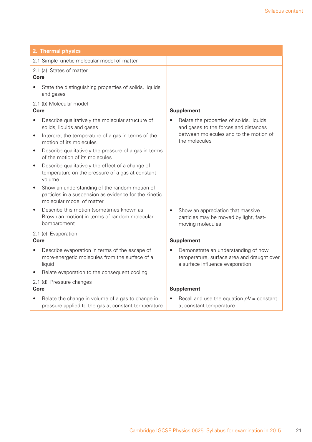| 2. Thermal physics                                                                                                                                                                        |                                                                                                                                              |
|-------------------------------------------------------------------------------------------------------------------------------------------------------------------------------------------|----------------------------------------------------------------------------------------------------------------------------------------------|
| 2.1 Simple kinetic molecular model of matter                                                                                                                                              |                                                                                                                                              |
| 2.1 (a) States of matter<br>Core                                                                                                                                                          |                                                                                                                                              |
| State the distinguishing properties of solids, liquids<br>and gases                                                                                                                       |                                                                                                                                              |
| 2.1 (b) Molecular model<br>Core                                                                                                                                                           | <b>Supplement</b>                                                                                                                            |
| Describe qualitatively the molecular structure of<br>$\bullet$<br>solids, liquids and gases<br>Interpret the temperature of a gas in terms of the<br>$\bullet$<br>motion of its molecules | Relate the properties of solids, liquids<br>and gases to the forces and distances<br>between molecules and to the motion of<br>the molecules |
| Describe qualitatively the pressure of a gas in terms<br>$\bullet$<br>of the motion of its molecules                                                                                      |                                                                                                                                              |
| Describe qualitatively the effect of a change of<br>$\bullet$<br>temperature on the pressure of a gas at constant<br>volume                                                               |                                                                                                                                              |
| Show an understanding of the random motion of<br>$\bullet$<br>particles in a suspension as evidence for the kinetic<br>molecular model of matter                                          |                                                                                                                                              |
| Describe this motion (sometimes known as<br>$\bullet$<br>Brownian motion) in terms of random molecular<br>bombardment                                                                     | Show an appreciation that massive<br>$\bullet$<br>particles may be moved by light, fast-<br>moving molecules                                 |
| 2.1 (c) Evaporation                                                                                                                                                                       |                                                                                                                                              |
| Core                                                                                                                                                                                      | <b>Supplement</b>                                                                                                                            |
| Describe evaporation in terms of the escape of<br>$\bullet$<br>more-energetic molecules from the surface of a<br>liquid                                                                   | Demonstrate an understanding of how<br>temperature, surface area and draught over<br>a surface influence evaporation                         |
| Relate evaporation to the consequent cooling                                                                                                                                              |                                                                                                                                              |
| 2.1 (d) Pressure changes<br>Core                                                                                                                                                          | <b>Supplement</b>                                                                                                                            |
|                                                                                                                                                                                           |                                                                                                                                              |
| Relate the change in volume of a gas to change in<br>pressure applied to the gas at constant temperature                                                                                  | Recall and use the equation $pV = constant$<br>at constant temperature                                                                       |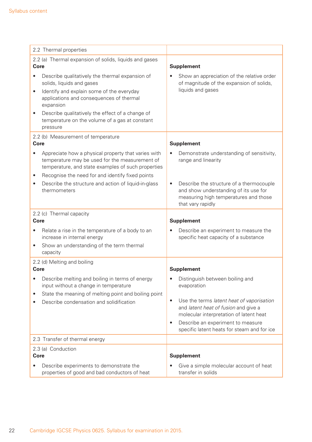| 2.2 Thermal properties                                                                                                                                      |                                                                                                                                                              |  |
|-------------------------------------------------------------------------------------------------------------------------------------------------------------|--------------------------------------------------------------------------------------------------------------------------------------------------------------|--|
| 2.2 (a) Thermal expansion of solids, liquids and gases<br>Core                                                                                              | <b>Supplement</b>                                                                                                                                            |  |
| Describe qualitatively the thermal expansion of<br>solids, liquids and gases                                                                                | Show an appreciation of the relative order<br>of magnitude of the expansion of solids,                                                                       |  |
| Identify and explain some of the everyday<br>$\bullet$<br>applications and consequences of thermal<br>expansion                                             | liquids and gases                                                                                                                                            |  |
| Describe qualitatively the effect of a change of<br>$\bullet$<br>temperature on the volume of a gas at constant<br>pressure                                 |                                                                                                                                                              |  |
| 2.2 (b) Measurement of temperature<br>Core                                                                                                                  | <b>Supplement</b>                                                                                                                                            |  |
| Appreciate how a physical property that varies with<br>temperature may be used for the measurement of<br>temperature, and state examples of such properties | Demonstrate understanding of sensitivity,<br>range and linearity                                                                                             |  |
| Recognise the need for and identify fixed points<br>٠<br>Describe the structure and action of liquid-in-glass<br>thermometers                               | Describe the structure of a thermocouple<br>$\bullet$<br>and show understanding of its use for<br>measuring high temperatures and those<br>that vary rapidly |  |
| 2.2 (c) Thermal capacity<br><b>Core</b>                                                                                                                     | <b>Supplement</b>                                                                                                                                            |  |
| Relate a rise in the temperature of a body to an<br>$\bullet$<br>increase in internal energy                                                                | Describe an experiment to measure the<br>specific heat capacity of a substance                                                                               |  |
| Show an understanding of the term thermal<br>$\bullet$<br>capacity                                                                                          |                                                                                                                                                              |  |
| 2.2 (d) Melting and boiling<br><b>Core</b>                                                                                                                  | <b>Supplement</b>                                                                                                                                            |  |
| Describe melting and boiling in terms of energy<br>input without a change in temperature<br>State the meaning of melting point and boiling point<br>٠       | Distinguish between boiling and<br>evaporation                                                                                                               |  |
| Describe condensation and solidification                                                                                                                    | Use the terms latent heat of vaporisation<br>$\bullet$<br>and latent heat of fusion and give a<br>molecular interpretation of latent heat                    |  |
|                                                                                                                                                             | Describe an experiment to measure<br>$\bullet$<br>specific latent heats for steam and for ice                                                                |  |
| 2.3 Transfer of thermal energy                                                                                                                              |                                                                                                                                                              |  |
| 2.3 (a) Conduction<br><b>Core</b>                                                                                                                           | <b>Supplement</b>                                                                                                                                            |  |
| Describe experiments to demonstrate the<br>$\bullet$<br>properties of good and bad conductors of heat                                                       | Give a simple molecular account of heat<br>transfer in solids                                                                                                |  |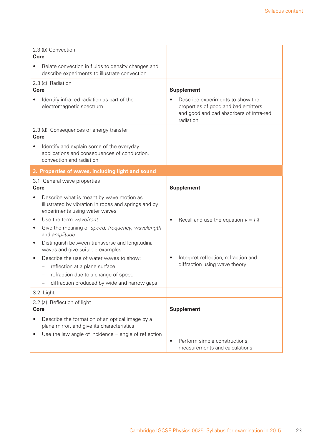| 2.3 (b) Convection<br>Core                                                                                                                     |                                                                                                                                 |
|------------------------------------------------------------------------------------------------------------------------------------------------|---------------------------------------------------------------------------------------------------------------------------------|
| Relate convection in fluids to density changes and<br>describe experiments to illustrate convection                                            |                                                                                                                                 |
| 2.3 (c) Radiation<br><b>Core</b>                                                                                                               | <b>Supplement</b>                                                                                                               |
| Identify infra-red radiation as part of the<br>electromagnetic spectrum                                                                        | Describe experiments to show the<br>properties of good and bad emitters<br>and good and bad absorbers of infra-red<br>radiation |
| 2.3 (d) Consequences of energy transfer<br>Core                                                                                                |                                                                                                                                 |
| Identify and explain some of the everyday<br>applications and consequences of conduction,<br>convection and radiation                          |                                                                                                                                 |
| 3. Properties of waves, including light and sound                                                                                              |                                                                                                                                 |
| 3.1 General wave properties<br><b>Core</b>                                                                                                     | <b>Supplement</b>                                                                                                               |
| Describe what is meant by wave motion as<br>$\bullet$<br>illustrated by vibration in ropes and springs and by<br>experiments using water waves |                                                                                                                                 |
| Use the term wavefront<br>$\bullet$                                                                                                            | Recall and use the equation $v = f \lambda$<br>$\bullet$                                                                        |
| Give the meaning of speed, frequency, wavelength<br>$\bullet$<br>and amplitude                                                                 |                                                                                                                                 |
| Distinguish between transverse and longitudinal<br>$\bullet$<br>waves and give suitable examples                                               |                                                                                                                                 |
| Describe the use of water waves to show:                                                                                                       | Interpret reflection, refraction and<br>$\bullet$                                                                               |
| reflection at a plane surface                                                                                                                  | diffraction using wave theory                                                                                                   |
| refraction due to a change of speed<br>diffraction produced by wide and narrow gaps                                                            |                                                                                                                                 |
| 3.2 Light                                                                                                                                      |                                                                                                                                 |
| 3.2 (a) Reflection of light                                                                                                                    |                                                                                                                                 |
| <b>Core</b>                                                                                                                                    | <b>Supplement</b>                                                                                                               |
| Describe the formation of an optical image by a<br>plane mirror, and give its characteristics                                                  |                                                                                                                                 |
| Use the law angle of incidence $=$ angle of reflection                                                                                         | Perform simple constructions,<br>$\bullet$                                                                                      |
|                                                                                                                                                | measurements and calculations                                                                                                   |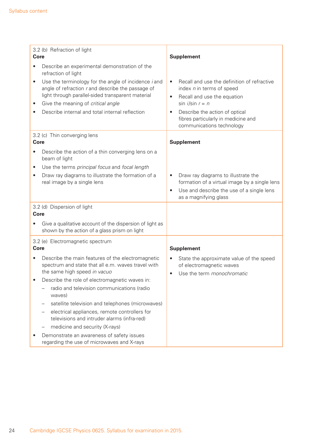| 3.2 (b) Refraction of light<br>Core                                                                                                                                                                                                                                              | <b>Supplement</b>                                                                                                                                                                                                                                                         |
|----------------------------------------------------------------------------------------------------------------------------------------------------------------------------------------------------------------------------------------------------------------------------------|---------------------------------------------------------------------------------------------------------------------------------------------------------------------------------------------------------------------------------------------------------------------------|
| Describe an experimental demonstration of the<br>refraction of light                                                                                                                                                                                                             |                                                                                                                                                                                                                                                                           |
| Use the terminology for the angle of incidence <i>i</i> and<br>$\bullet$<br>angle of refraction r and describe the passage of<br>light through parallel-sided transparent material<br>Give the meaning of critical angle<br>٠<br>Describe internal and total internal reflection | Recall and use the definition of refractive<br>$\bullet$<br>index n in terms of speed<br>Recall and use the equation<br>$\bullet$<br>$sin i/sin r = n$<br>Describe the action of optical<br>$\bullet$<br>fibres particularly in medicine and<br>communications technology |
| 3.2 (c) Thin converging lens<br><b>Core</b>                                                                                                                                                                                                                                      | <b>Supplement</b>                                                                                                                                                                                                                                                         |
| Describe the action of a thin converging lens on a<br>beam of light<br>Use the terms principal focus and focal length<br>$\bullet$                                                                                                                                               |                                                                                                                                                                                                                                                                           |
| Draw ray diagrams to illustrate the formation of a<br>$\bullet$<br>real image by a single lens                                                                                                                                                                                   | Draw ray diagrams to illustrate the<br>$\bullet$<br>formation of a virtual image by a single lens<br>Use and describe the use of a single lens<br>$\bullet$<br>as a magnifying glass                                                                                      |
| 3.2 (d) Dispersion of light<br>Core                                                                                                                                                                                                                                              |                                                                                                                                                                                                                                                                           |
| Give a qualitative account of the dispersion of light as<br>shown by the action of a glass prism on light                                                                                                                                                                        |                                                                                                                                                                                                                                                                           |
| 3.2 (e) Electromagnetic spectrum<br><b>Core</b>                                                                                                                                                                                                                                  | <b>Supplement</b>                                                                                                                                                                                                                                                         |
| Describe the main features of the electromagnetic<br>spectrum and state that all e.m. waves travel with<br>the same high speed in vacuo                                                                                                                                          | State the approximate value of the speed<br>of electromagnetic waves<br>Use the term <i>monochromatic</i><br>$\bullet$                                                                                                                                                    |
| Describe the role of electromagnetic waves in:<br>radio and television communications (radio<br>waves)                                                                                                                                                                           |                                                                                                                                                                                                                                                                           |
| satellite television and telephones (microwaves)<br>electrical appliances, remote controllers for                                                                                                                                                                                |                                                                                                                                                                                                                                                                           |
| televisions and intruder alarms (infra-red)                                                                                                                                                                                                                                      |                                                                                                                                                                                                                                                                           |
| medicine and security (X-rays)                                                                                                                                                                                                                                                   |                                                                                                                                                                                                                                                                           |
| Demonstrate an awareness of safety issues<br>٠<br>regarding the use of microwaves and X-rays                                                                                                                                                                                     |                                                                                                                                                                                                                                                                           |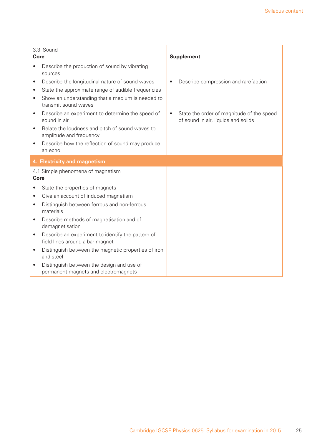| Core                   | 3.3 Sound                                                                                                                      |           | <b>Supplement</b>                                                                |
|------------------------|--------------------------------------------------------------------------------------------------------------------------------|-----------|----------------------------------------------------------------------------------|
|                        | Describe the production of sound by vibrating<br>sources                                                                       |           |                                                                                  |
| $\bullet$              | Describe the longitudinal nature of sound waves                                                                                | $\bullet$ | Describe compression and rarefaction                                             |
| $\bullet$<br>$\bullet$ | State the approximate range of audible frequencies<br>Show an understanding that a medium is needed to<br>transmit sound waves |           |                                                                                  |
| $\bullet$              | Describe an experiment to determine the speed of<br>sound in air                                                               | $\bullet$ | State the order of magnitude of the speed<br>of sound in air, liquids and solids |
| $\bullet$              | Relate the loudness and pitch of sound waves to<br>amplitude and frequency                                                     |           |                                                                                  |
| $\bullet$              | Describe how the reflection of sound may produce<br>an echo                                                                    |           |                                                                                  |
|                        | 4. Electricity and magnetism                                                                                                   |           |                                                                                  |
| <b>Core</b>            | 4.1 Simple phenomena of magnetism                                                                                              |           |                                                                                  |
|                        | State the properties of magnets                                                                                                |           |                                                                                  |
| $\bullet$              | Give an account of induced magnetism                                                                                           |           |                                                                                  |
| $\bullet$              | Distinguish between ferrous and non-ferrous<br>materials                                                                       |           |                                                                                  |
| $\bullet$              | Describe methods of magnetisation and of<br>demagnetisation                                                                    |           |                                                                                  |
| $\bullet$              | Describe an experiment to identify the pattern of<br>field lines around a bar magnet                                           |           |                                                                                  |
| $\bullet$              | Distinguish between the magnetic properties of iron<br>and steel                                                               |           |                                                                                  |
| $\bullet$              | Distinguish between the design and use of<br>permanent magnets and electromagnets                                              |           |                                                                                  |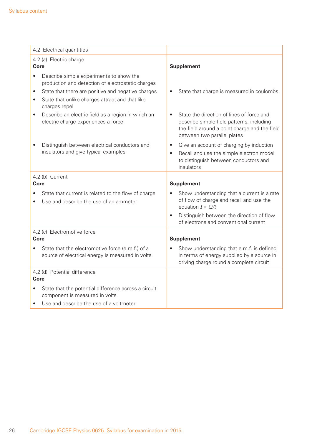| 4.2 Electrical quantities                                                                                 |                                                                                                                                                                                     |
|-----------------------------------------------------------------------------------------------------------|-------------------------------------------------------------------------------------------------------------------------------------------------------------------------------------|
| 4.2 (a) Electric charge                                                                                   |                                                                                                                                                                                     |
| Core                                                                                                      | <b>Supplement</b>                                                                                                                                                                   |
| Describe simple experiments to show the<br>$\bullet$<br>production and detection of electrostatic charges |                                                                                                                                                                                     |
| State that there are positive and negative charges<br>$\bullet$                                           | State that charge is measured in coulombs<br>$\bullet$                                                                                                                              |
| State that unlike charges attract and that like<br>$\bullet$<br>charges repel                             |                                                                                                                                                                                     |
| Describe an electric field as a region in which an<br>$\bullet$<br>electric charge experiences a force    | State the direction of lines of force and<br>$\bullet$<br>describe simple field patterns, including<br>the field around a point charge and the field<br>between two parallel plates |
| Distinguish between electrical conductors and                                                             | Give an account of charging by induction<br>$\bullet$                                                                                                                               |
| insulators and give typical examples                                                                      | Recall and use the simple electron model<br>$\bullet$<br>to distinguish between conductors and<br>insulators                                                                        |
| 4.2 (b) Current                                                                                           |                                                                                                                                                                                     |
| <b>Core</b>                                                                                               | <b>Supplement</b>                                                                                                                                                                   |
| State that current is related to the flow of charge<br>Use and describe the use of an ammeter             | Show understanding that a current is a rate<br>$\bullet$<br>of flow of charge and recall and use the<br>equation $I = Q/t$                                                          |
|                                                                                                           | Distinguish between the direction of flow<br>$\bullet$<br>of electrons and conventional current                                                                                     |
| 4.2 (c) Electromotive force                                                                               |                                                                                                                                                                                     |
| Core                                                                                                      | <b>Supplement</b>                                                                                                                                                                   |
| State that the electromotive force (e.m.f.) of a<br>source of electrical energy is measured in volts      | Show understanding that e.m.f. is defined<br>in terms of energy supplied by a source in<br>driving charge round a complete circuit                                                  |
| 4.2 (d) Potential difference                                                                              |                                                                                                                                                                                     |
| <b>Core</b>                                                                                               |                                                                                                                                                                                     |
| State that the potential difference across a circuit<br>component is measured in volts                    |                                                                                                                                                                                     |
| Use and describe the use of a voltmeter<br>$\bullet$                                                      |                                                                                                                                                                                     |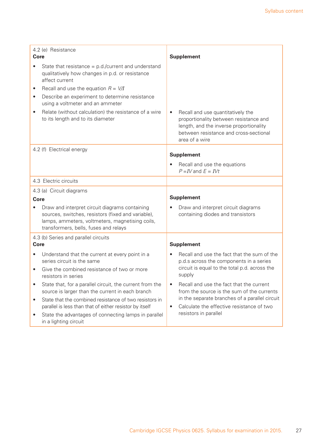| 4.2 (e) Resistance                   |                                                                                                                                                                                                  |                   |                                                                                                                                                                                    |
|--------------------------------------|--------------------------------------------------------------------------------------------------------------------------------------------------------------------------------------------------|-------------------|------------------------------------------------------------------------------------------------------------------------------------------------------------------------------------|
| Core                                 |                                                                                                                                                                                                  |                   | <b>Supplement</b>                                                                                                                                                                  |
|                                      | State that resistance $=$ p.d./current and understand<br>qualitatively how changes in p.d. or resistance<br>affect current                                                                       |                   |                                                                                                                                                                                    |
|                                      | Recall and use the equation $R = V/I$                                                                                                                                                            |                   |                                                                                                                                                                                    |
| $\bullet$                            | Describe an experiment to determine resistance<br>using a voltmeter and an ammeter                                                                                                               |                   |                                                                                                                                                                                    |
| $\bullet$                            | Relate (without calculation) the resistance of a wire<br>to its length and to its diameter                                                                                                       | $\bullet$         | Recall and use quantitatively the<br>proportionality between resistance and<br>length, and the inverse proportionality<br>between resistance and cross-sectional<br>area of a wire |
|                                      | 4.2 (f) Electrical energy                                                                                                                                                                        |                   | <b>Supplement</b>                                                                                                                                                                  |
|                                      |                                                                                                                                                                                                  |                   | Recall and use the equations<br>$P = IV$ and $E = IVt$                                                                                                                             |
|                                      | 4.3 Electric circuits                                                                                                                                                                            |                   |                                                                                                                                                                                    |
| 4.3 (a) Circuit diagrams             |                                                                                                                                                                                                  |                   |                                                                                                                                                                                    |
| <b>Core</b>                          |                                                                                                                                                                                                  | <b>Supplement</b> |                                                                                                                                                                                    |
|                                      | Draw and interpret circuit diagrams containing<br>sources, switches, resistors (fixed and variable),<br>lamps, ammeters, voltmeters, magnetising coils,<br>transformers, bells, fuses and relays |                   | Draw and interpret circuit diagrams<br>containing diodes and transistors                                                                                                           |
| 4.3 (b) Series and parallel circuits |                                                                                                                                                                                                  |                   |                                                                                                                                                                                    |
| <b>Core</b>                          |                                                                                                                                                                                                  |                   | <b>Supplement</b>                                                                                                                                                                  |
|                                      | Understand that the current at every point in a<br>series circuit is the same                                                                                                                    |                   | Recall and use the fact that the sum of the<br>p.d.s across the components in a series                                                                                             |
| $\bullet$                            | Give the combined resistance of two or more<br>resistors in series                                                                                                                               |                   | circuit is equal to the total p.d. across the<br>supply                                                                                                                            |
|                                      | State that, for a parallel circuit, the current from the<br>source is larger than the current in each branch                                                                                     |                   | Recall and use the fact that the current<br>from the source is the sum of the currents                                                                                             |
| ٠                                    | State that the combined resistance of two resistors in<br>parallel is less than that of either resistor by itself                                                                                | $\bullet$         | in the separate branches of a parallel circuit<br>Calculate the effective resistance of two                                                                                        |
| ٠                                    | State the advantages of connecting lamps in parallel<br>in a lighting circuit                                                                                                                    |                   | resistors in parallel                                                                                                                                                              |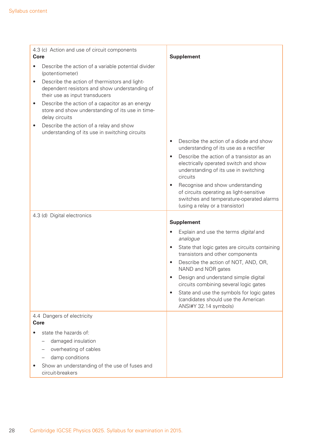| 4.3 (c) Action and use of circuit components                                                                                                                                                                                                                                                                                                                                                                                                                                         |                                                                                                                                                                                                                                                                                                          |
|--------------------------------------------------------------------------------------------------------------------------------------------------------------------------------------------------------------------------------------------------------------------------------------------------------------------------------------------------------------------------------------------------------------------------------------------------------------------------------------|----------------------------------------------------------------------------------------------------------------------------------------------------------------------------------------------------------------------------------------------------------------------------------------------------------|
| <b>Core</b>                                                                                                                                                                                                                                                                                                                                                                                                                                                                          | <b>Supplement</b>                                                                                                                                                                                                                                                                                        |
| Describe the action of a variable potential divider<br>$\bullet$<br>(potentiometer)<br>Describe the action of thermistors and light-<br>$\bullet$<br>dependent resistors and show understanding of<br>their use as input transducers<br>Describe the action of a capacitor as an energy<br>$\bullet$<br>store and show understanding of its use in time-<br>delay circuits<br>Describe the action of a relay and show<br>$\bullet$<br>understanding of its use in switching circuits | Describe the action of a diode and show<br>$\bullet$<br>understanding of its use as a rectifier<br>Describe the action of a transistor as an<br>$\bullet$<br>electrically operated switch and show<br>understanding of its use in switching<br>circuits<br>Recognise and show understanding<br>$\bullet$ |
|                                                                                                                                                                                                                                                                                                                                                                                                                                                                                      | of circuits operating as light-sensitive<br>switches and temperature-operated alarms                                                                                                                                                                                                                     |
|                                                                                                                                                                                                                                                                                                                                                                                                                                                                                      | (using a relay or a transistor)                                                                                                                                                                                                                                                                          |
| 4.3 (d) Digital electronics                                                                                                                                                                                                                                                                                                                                                                                                                                                          | <b>Supplement</b>                                                                                                                                                                                                                                                                                        |
|                                                                                                                                                                                                                                                                                                                                                                                                                                                                                      | Explain and use the terms digital and<br>$\bullet$                                                                                                                                                                                                                                                       |
|                                                                                                                                                                                                                                                                                                                                                                                                                                                                                      | analogue                                                                                                                                                                                                                                                                                                 |
|                                                                                                                                                                                                                                                                                                                                                                                                                                                                                      | State that logic gates are circuits containing<br>transistors and other components                                                                                                                                                                                                                       |
|                                                                                                                                                                                                                                                                                                                                                                                                                                                                                      | Describe the action of NOT, AND, OR,<br>$\bullet$<br>NAND and NOR gates                                                                                                                                                                                                                                  |
|                                                                                                                                                                                                                                                                                                                                                                                                                                                                                      | Design and understand simple digital<br>circuits combining several logic gates                                                                                                                                                                                                                           |
|                                                                                                                                                                                                                                                                                                                                                                                                                                                                                      | State and use the symbols for logic gates<br>$\bullet$<br>(candidates should use the American<br>ANSI#Y 32.14 symbols)                                                                                                                                                                                   |
| 4.4 Dangers of electricity                                                                                                                                                                                                                                                                                                                                                                                                                                                           |                                                                                                                                                                                                                                                                                                          |
| Core                                                                                                                                                                                                                                                                                                                                                                                                                                                                                 |                                                                                                                                                                                                                                                                                                          |
| state the hazards of:                                                                                                                                                                                                                                                                                                                                                                                                                                                                |                                                                                                                                                                                                                                                                                                          |
| damaged insulation                                                                                                                                                                                                                                                                                                                                                                                                                                                                   |                                                                                                                                                                                                                                                                                                          |
| overheating of cables                                                                                                                                                                                                                                                                                                                                                                                                                                                                |                                                                                                                                                                                                                                                                                                          |
| damp conditions                                                                                                                                                                                                                                                                                                                                                                                                                                                                      |                                                                                                                                                                                                                                                                                                          |
| Show an understanding of the use of fuses and<br>circuit-breakers                                                                                                                                                                                                                                                                                                                                                                                                                    |                                                                                                                                                                                                                                                                                                          |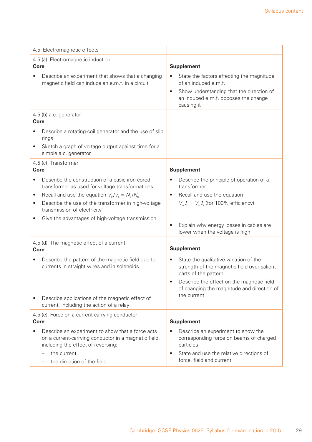| 4.5 Electromagnetic effects                                                                                                                                                                                                                                                                                |                                                                                                                                                                                                                         |
|------------------------------------------------------------------------------------------------------------------------------------------------------------------------------------------------------------------------------------------------------------------------------------------------------------|-------------------------------------------------------------------------------------------------------------------------------------------------------------------------------------------------------------------------|
| 4.5 (a) Electromagnetic induction<br><b>Core</b>                                                                                                                                                                                                                                                           | <b>Supplement</b>                                                                                                                                                                                                       |
| Describe an experiment that shows that a changing<br>$\bullet$<br>magnetic field can induce an e.m.f. in a circuit                                                                                                                                                                                         | State the factors affecting the magnitude<br>of an induced e.m.f.                                                                                                                                                       |
|                                                                                                                                                                                                                                                                                                            | Show understanding that the direction of<br>$\bullet$<br>an induced e.m.f. opposes the change<br>causing it                                                                                                             |
| 4.5 (b) a.c. generator<br><b>Core</b>                                                                                                                                                                                                                                                                      |                                                                                                                                                                                                                         |
| Describe a rotating-coil generator and the use of slip<br>rings                                                                                                                                                                                                                                            |                                                                                                                                                                                                                         |
| Sketch a graph of voltage output against time for a<br>$\bullet$<br>simple a.c. generator                                                                                                                                                                                                                  |                                                                                                                                                                                                                         |
| 4.5 (c) Transformer<br>Core                                                                                                                                                                                                                                                                                | <b>Supplement</b>                                                                                                                                                                                                       |
| Describe the construction of a basic iron-cored<br>$\bullet$<br>transformer as used for voltage transformations<br>Recall and use the equation $V_{\rm g}/V_{\rm s} = N_{\rm g}/N_{\rm s}$<br>$\bullet$<br>Describe the use of the transformer in high-voltage<br>$\bullet$<br>transmission of electricity | Describe the principle of operation of a<br>transformer<br>Recall and use the equation<br>$\bullet$<br>$V_p I_p = V_s I_s$ (for 100% efficiency)                                                                        |
| Give the advantages of high-voltage transmission                                                                                                                                                                                                                                                           | Explain why energy losses in cables are<br>$\bullet$<br>lower when the voltage is high                                                                                                                                  |
| 4.5 (d) The magnetic effect of a current<br>Core                                                                                                                                                                                                                                                           | <b>Supplement</b>                                                                                                                                                                                                       |
| Describe the pattern of the magnetic field due to<br>$\bullet$<br>currents in straight wires and in solenoids<br>Describe applications of the magnetic effect of                                                                                                                                           | State the qualitative variation of the<br>strength of the magnetic field over salient<br>parts of the pattern<br>Describe the effect on the magnetic field<br>of changing the magnitude and direction of<br>the current |
| current, including the action of a relay                                                                                                                                                                                                                                                                   |                                                                                                                                                                                                                         |
| 4.5 (e) Force on a current-carrying conductor<br>Core                                                                                                                                                                                                                                                      | <b>Supplement</b>                                                                                                                                                                                                       |
| Describe an experiment to show that a force acts<br>on a current-carrying conductor in a magnetic field,<br>including the effect of reversing:                                                                                                                                                             | Describe an experiment to show the<br>corresponding force on beams of charged<br>particles                                                                                                                              |
| the current<br>the direction of the field                                                                                                                                                                                                                                                                  | State and use the relative directions of<br>$\bullet$<br>force, field and current                                                                                                                                       |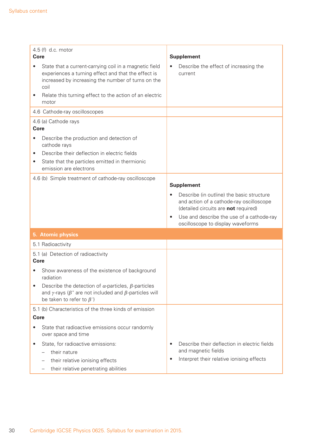| 4.5 (f) d.c. motor<br><b>Core</b>                                                                                                                                                                                                                     |                                                                                                                                                                                                                                           |
|-------------------------------------------------------------------------------------------------------------------------------------------------------------------------------------------------------------------------------------------------------|-------------------------------------------------------------------------------------------------------------------------------------------------------------------------------------------------------------------------------------------|
| State that a current-carrying coil in a magnetic field<br>experiences a turning effect and that the effect is<br>increased by increasing the number of turns on the<br>coil<br>Relate this turning effect to the action of an electric<br>$\bullet$   | <b>Supplement</b><br>Describe the effect of increasing the<br>current                                                                                                                                                                     |
| motor<br>4.6 Cathode-ray oscilloscopes                                                                                                                                                                                                                |                                                                                                                                                                                                                                           |
| 4.6 (a) Cathode rays<br><b>Core</b>                                                                                                                                                                                                                   |                                                                                                                                                                                                                                           |
| Describe the production and detection of<br>$\bullet$<br>cathode rays<br>Describe their deflection in electric fields<br>$\bullet$<br>State that the particles emitted in thermionic<br>$\bullet$<br>emission are electrons                           |                                                                                                                                                                                                                                           |
| 4.6 (b) Simple treatment of cathode-ray oscilloscope                                                                                                                                                                                                  | <b>Supplement</b>                                                                                                                                                                                                                         |
|                                                                                                                                                                                                                                                       | Describe (in outline) the basic structure<br>$\bullet$<br>and action of a cathode-ray oscilloscope<br>(detailed circuits are not required)<br>Use and describe the use of a cathode-ray<br>$\bullet$<br>oscilloscope to display waveforms |
| 5. Atomic physics                                                                                                                                                                                                                                     |                                                                                                                                                                                                                                           |
| 5.1 Radioactivity                                                                                                                                                                                                                                     |                                                                                                                                                                                                                                           |
| 5.1 (a) Detection of radioactivity<br><b>Core</b>                                                                                                                                                                                                     |                                                                                                                                                                                                                                           |
| Show awareness of the existence of background<br>radiation<br>Describe the detection of $\alpha$ -particles, $\beta$ -particles<br>$\bullet$<br>and y-rays ( $\beta^+$ are not included and $\beta$ -particles will<br>be taken to refer to $\beta^-$ |                                                                                                                                                                                                                                           |
| 5.1 (b) Characteristics of the three kinds of emission<br>Core<br>State that radioactive emissions occur randomly<br>over space and time                                                                                                              |                                                                                                                                                                                                                                           |
| State, for radioactive emissions:<br>$\bullet$<br>their nature<br>their relative ionising effects<br>their relative penetrating abilities                                                                                                             | Describe their deflection in electric fields<br>٠<br>and magnetic fields<br>Interpret their relative ionising effects<br>$\bullet$                                                                                                        |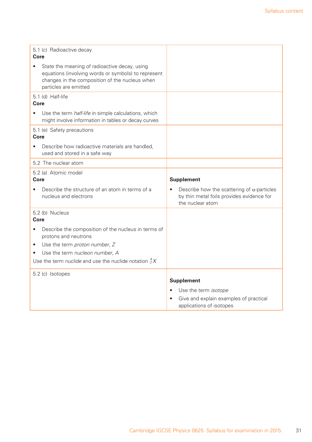| 5.1 (c) Radioactive decay<br>Core                                                                                                                                                                                                                       |                                                                                                                     |  |
|---------------------------------------------------------------------------------------------------------------------------------------------------------------------------------------------------------------------------------------------------------|---------------------------------------------------------------------------------------------------------------------|--|
| State the meaning of radioactive decay, using<br>equations (involving words or symbols) to represent<br>changes in the composition of the nucleus when<br>particles are emitted                                                                         |                                                                                                                     |  |
| 5.1 (d) Half-life<br>Core                                                                                                                                                                                                                               |                                                                                                                     |  |
| Use the term half-life in simple calculations, which<br>might involve information in tables or decay curves                                                                                                                                             |                                                                                                                     |  |
| 5.1 (e) Safety precautions<br>Core                                                                                                                                                                                                                      |                                                                                                                     |  |
| Describe how radioactive materials are handled,<br>used and stored in a safe way                                                                                                                                                                        |                                                                                                                     |  |
| 5.2 The nuclear atom                                                                                                                                                                                                                                    |                                                                                                                     |  |
| 5.2 (a) Atomic model<br>Core                                                                                                                                                                                                                            | <b>Supplement</b>                                                                                                   |  |
| Describe the structure of an atom in terms of a<br>nucleus and electrons                                                                                                                                                                                | Describe how the scattering of $\alpha$ -particles<br>by thin metal foils provides evidence for<br>the nuclear atom |  |
| 5.2 (b) Nucleus<br>Core                                                                                                                                                                                                                                 |                                                                                                                     |  |
| Describe the composition of the nucleus in terms of<br>$\bullet$<br>protons and neutrons<br>Use the term proton number, Z<br>٠<br>Use the term nucleon number, A<br>$\bullet$<br>Use the term <i>nuclide</i> and use the nuclide notation ${}_{Z}^{A}X$ |                                                                                                                     |  |
| 5.2 (c) Isotopes                                                                                                                                                                                                                                        |                                                                                                                     |  |
|                                                                                                                                                                                                                                                         | <b>Supplement</b>                                                                                                   |  |
|                                                                                                                                                                                                                                                         | Use the term isotope<br>Give and explain examples of practical<br>applications of isotopes                          |  |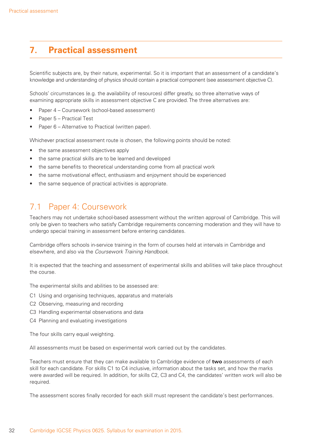## **7. Practical assessment**

Scientific subjects are, by their nature, experimental. So it is important that an assessment of a candidate's knowledge and understanding of physics should contain a practical component (see assessment objective C).

Schools' circumstances (e.g. the availability of resources) differ greatly, so three alternative ways of examining appropriate skills in assessment objective C are provided. The three alternatives are:

- Paper 4 Coursework (school-based assessment)
- Paper 5 Practical Test
- Paper 6 Alternative to Practical (written paper).

Whichever practical assessment route is chosen, the following points should be noted:

- the same assessment objectives apply
- the same practical skills are to be learned and developed
- the same benefits to theoretical understanding come from all practical work
- the same motivational effect, enthusiasm and enjoyment should be experienced
- the same sequence of practical activities is appropriate.

## 7.1 Paper 4: Coursework

Teachers may not undertake school-based assessment without the written approval of Cambridge. This will only be given to teachers who satisfy Cambridge requirements concerning moderation and they will have to undergo special training in assessment before entering candidates.

Cambridge offers schools in-service training in the form of courses held at intervals in Cambridge and elsewhere, and also via the *Coursework Training Handbook*.

It is expected that the teaching and assessment of experimental skills and abilities will take place throughout the course.

The experimental skills and abilities to be assessed are:

- C1 Using and organising techniques, apparatus and materials
- C2 Observing, measuring and recording
- C3 Handling experimental observations and data
- C4 Planning and evaluating investigations

The four skills carry equal weighting.

All assessments must be based on experimental work carried out by the candidates.

Teachers must ensure that they can make available to Cambridge evidence of **two** assessments of each skill for each candidate. For skills C1 to C4 inclusive, information about the tasks set, and how the marks were awarded will be required. In addition, for skills C2, C3 and C4, the candidates' written work will also be required.

The assessment scores finally recorded for each skill must represent the candidate's best performances.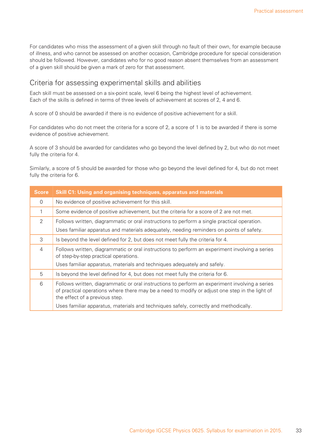For candidates who miss the assessment of a given skill through no fault of their own, for example because of illness, and who cannot be assessed on another occasion, Cambridge procedure for special consideration should be followed. However, candidates who for no good reason absent themselves from an assessment of a given skill should be given a mark of zero for that assessment.

#### Criteria for assessing experimental skills and abilities

Each skill must be assessed on a six-point scale, level 6 being the highest level of achievement. Each of the skills is defined in terms of three levels of achievement at scores of 2, 4 and 6.

A score of 0 should be awarded if there is no evidence of positive achievement for a skill.

For candidates who do not meet the criteria for a score of 2, a score of 1 is to be awarded if there is some evidence of positive achievement.

A score of 3 should be awarded for candidates who go beyond the level defined by 2, but who do not meet fully the criteria for 4.

Similarly, a score of 5 should be awarded for those who go beyond the level defined for 4, but do not meet fully the criteria for 6.

| <b>Score</b>   | <b>Skill C1: Using and organising techniques, apparatus and materials</b>                                                                                                                                                          |
|----------------|------------------------------------------------------------------------------------------------------------------------------------------------------------------------------------------------------------------------------------|
| $\Omega$       | No evidence of positive achievement for this skill.                                                                                                                                                                                |
| 1              | Some evidence of positive achievement, but the criteria for a score of 2 are not met.                                                                                                                                              |
| 2              | Follows written, diagrammatic or oral instructions to perform a single practical operation.<br>Uses familiar apparatus and materials adequately, needing reminders on points of safety.                                            |
| 3              | Is beyond the level defined for 2, but does not meet fully the criteria for 4.                                                                                                                                                     |
| $\overline{4}$ | Follows written, diagrammatic or oral instructions to perform an experiment involving a series<br>of step-by-step practical operations.                                                                                            |
|                | Uses familiar apparatus, materials and techniques adequately and safely.                                                                                                                                                           |
| 5              | Is beyond the level defined for 4, but does not meet fully the criteria for 6.                                                                                                                                                     |
| 6              | Follows written, diagrammatic or oral instructions to perform an experiment involving a series<br>of practical operations where there may be a need to modify or adjust one step in the light of<br>the effect of a previous step. |
|                | Uses familiar apparatus, materials and techniques safely, correctly and methodically.                                                                                                                                              |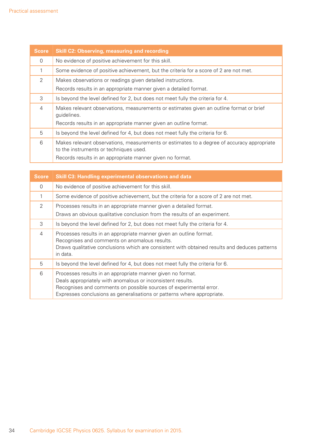| <b>Score</b> | <b>Skill C2: Observing, measuring and recording</b>                                                                                  |  |
|--------------|--------------------------------------------------------------------------------------------------------------------------------------|--|
| $\Omega$     | No evidence of positive achievement for this skill.                                                                                  |  |
|              | Some evidence of positive achievement, but the criteria for a score of 2 are not met.                                                |  |
| 2            | Makes observations or readings given detailed instructions.                                                                          |  |
|              | Records results in an appropriate manner given a detailed format.                                                                    |  |
| 3            | Is beyond the level defined for 2, but does not meet fully the criteria for 4.                                                       |  |
| 4            | Makes relevant observations, measurements or estimates given an outline format or brief<br>guidelines.                               |  |
|              | Records results in an appropriate manner given an outline format.                                                                    |  |
| 5            | Is beyond the level defined for 4, but does not meet fully the criteria for 6.                                                       |  |
| 6            | Makes relevant observations, measurements or estimates to a degree of accuracy appropriate<br>to the instruments or techniques used. |  |
|              | Records results in an appropriate manner given no format.                                                                            |  |

| <b>Score</b>   | <b>Skill C3: Handling experimental observations and data</b>                                                                                                                                                                                                                |
|----------------|-----------------------------------------------------------------------------------------------------------------------------------------------------------------------------------------------------------------------------------------------------------------------------|
| $\Omega$       | No evidence of positive achievement for this skill.                                                                                                                                                                                                                         |
| 1              | Some evidence of positive achievement, but the criteria for a score of 2 are not met.                                                                                                                                                                                       |
| $\mathcal{P}$  | Processes results in an appropriate manner given a detailed format.<br>Draws an obvious qualitative conclusion from the results of an experiment.                                                                                                                           |
| 3              | Is beyond the level defined for 2, but does not meet fully the criteria for 4.                                                                                                                                                                                              |
| $\overline{4}$ | Processes results in an appropriate manner given an outline format.<br>Recognises and comments on anomalous results.<br>Draws qualitative conclusions which are consistent with obtained results and deduces patterns<br>in data.                                           |
| 5              | Is beyond the level defined for 4, but does not meet fully the criteria for 6.                                                                                                                                                                                              |
| 6              | Processes results in an appropriate manner given no format.<br>Deals appropriately with anomalous or inconsistent results.<br>Recognises and comments on possible sources of experimental error.<br>Expresses conclusions as generalisations or patterns where appropriate. |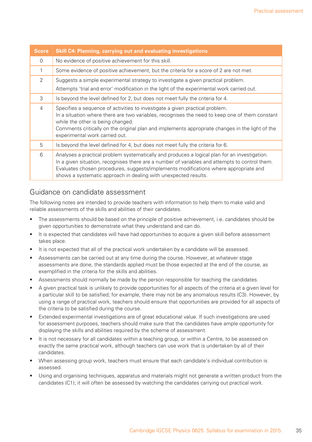| <b>Score</b>   | <b>Skill C4: Planning, carrying out and evaluating investigations</b>                                                                                                                                                                                                                                                                                      |
|----------------|------------------------------------------------------------------------------------------------------------------------------------------------------------------------------------------------------------------------------------------------------------------------------------------------------------------------------------------------------------|
| $\Omega$       | No evidence of positive achievement for this skill.                                                                                                                                                                                                                                                                                                        |
|                | Some evidence of positive achievement, but the criteria for a score of 2 are not met.                                                                                                                                                                                                                                                                      |
| 2              | Suggests a simple experimental strategy to investigate a given practical problem.<br>Attempts 'trial and error' modification in the light of the experimental work carried out.                                                                                                                                                                            |
| 3              | Is beyond the level defined for 2, but does not meet fully the criteria for 4.                                                                                                                                                                                                                                                                             |
| $\overline{4}$ | Specifies a sequence of activities to investigate a given practical problem.<br>In a situation where there are two variables, recognises the need to keep one of them constant<br>while the other is being changed.<br>Comments critically on the original plan and implements appropriate changes in the light of the<br>experimental work carried out.   |
| 5              | Is beyond the level defined for 4, but does not meet fully the criteria for 6.                                                                                                                                                                                                                                                                             |
| 6              | Analyses a practical problem systematically and produces a logical plan for an investigation.<br>In a given situation, recognises there are a number of variables and attempts to control them.<br>Evaluates chosen procedures, suggests/implements modifications where appropriate and<br>shows a systematic approach in dealing with unexpected results. |

#### Guidance on candidate assessment

The following notes are intended to provide teachers with information to help them to make valid and reliable assessments of the skills and abilities of their candidates.

- The assessments should be based on the principle of positive achievement, i.e. candidates should be given opportunities to demonstrate what they understand and can do.
- It is expected that candidates will have had opportunities to acquire a given skill before assessment takes place.
- It is not expected that all of the practical work undertaken by a candidate will be assessed.
- Assessments can be carried out at any time during the course. However, at whatever stage assessments are done, the standards applied must be those expected at the end of the course, as exemplified in the criteria for the skills and abilities.
- Assessments should normally be made by the person responsible for teaching the candidates.
- A given practical task is unlikely to provide opportunities for all aspects of the criteria at a given level for a particular skill to be satisfied; for example, there may not be any anomalous results (C3). However, by using a range of practical work, teachers should ensure that opportunities are provided for all aspects of the criteria to be satisfied during the course.
- Extended experimental investigations are of great educational value. If such investigations are used for assessment purposes, teachers should make sure that the candidates have ample opportunity for displaying the skills and abilities required by the scheme of assessment.
- It is not necessary for all candidates within a teaching group, or within a Centre, to be assessed on exactly the same practical work, although teachers can use work that is undertaken by all of their candidates.
- When assessing group work, teachers must ensure that each candidate's individual contribution is assessed.
- Using and organising techniques, apparatus and materials might not generate a written product from the candidates (C1); it will often be assessed by watching the candidates carrying out practical work.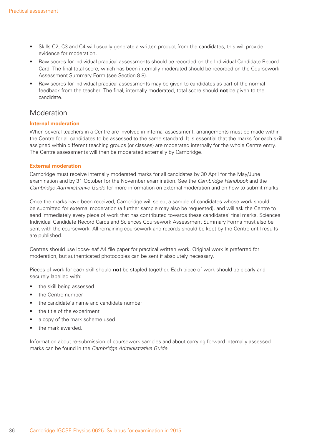- Skills C2, C3 and C4 will usually generate a written product from the candidates; this will provide evidence for moderation.
- Raw scores for individual practical assessments should be recorded on the Individual Candidate Record Card. The final total score, which has been internally moderated should be recorded on the Coursework Assessment Summary Form (see Section 8.8).
- Raw scores for individual practical assessments may be given to candidates as part of the normal feedback from the teacher. The final, internally moderated, total score should **not** be given to the candidate.

#### **Moderation**

#### **Internal moderation**

When several teachers in a Centre are involved in internal assessment, arrangements must be made within the Centre for all candidates to be assessed to the same standard. It is essential that the marks for each skill assigned within different teaching groups (or classes) are moderated internally for the whole Centre entry. The Centre assessments will then be moderated externally by Cambridge.

#### **External moderation**

Cambridge must receive internally moderated marks for all candidates by 30 April for the May/June examination and by 31 October for the November examination. See the *Cambridge Handbook* and the *Cambridge Administrative Guide* for more information on external moderation and on how to submit marks.

Once the marks have been received, Cambridge will select a sample of candidates whose work should be submitted for external moderation (a further sample may also be requested), and will ask the Centre to send immediately every piece of work that has contributed towards these candidates' final marks. Sciences Individual Candidate Record Cards and Sciences Coursework Assessment Summary Forms must also be sent with the coursework. All remaining coursework and records should be kept by the Centre until results are published.

Centres should use loose-leaf A4 file paper for practical written work. Original work is preferred for moderation, but authenticated photocopies can be sent if absolutely necessary.

Pieces of work for each skill should **not** be stapled together. Each piece of work should be clearly and securely labelled with:

- the skill being assessed
- the Centre number
- the candidate's name and candidate number
- the title of the experiment
- a copy of the mark scheme used
- the mark awarded

Information about re-submission of coursework samples and about carrying forward internally assessed marks can be found in the *Cambridge Administrative Guide*.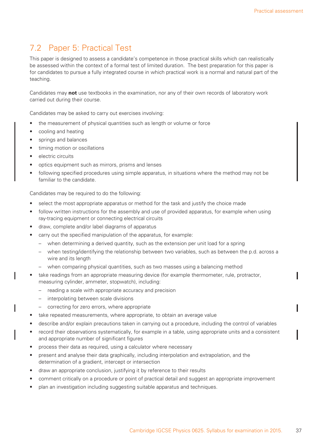## 7.2 Paper 5: Practical Test

This paper is designed to assess a candidate's competence in those practical skills which can realistically be assessed within the context of a formal test of limited duration. The best preparation for this paper is for candidates to pursue a fully integrated course in which practical work is a normal and natural part of the teaching.

Candidates may **not** use textbooks in the examination, nor any of their own records of laboratory work carried out during their course.

Candidates may be asked to carry out exercises involving:

- the measurement of physical quantities such as length or volume or force
- cooling and heating
- springs and balances
- timing motion or oscillations
- electric circuits
- optics equipment such as mirrors, prisms and lenses
- following specified procedures using simple apparatus, in situations where the method may not be familiar to the candidate.

Candidates may be required to do the following:

- select the most appropriate apparatus or method for the task and justify the choice made
- follow written instructions for the assembly and use of provided apparatus, for example when using ray-tracing equipment or connecting electrical circuits
- draw, complete and/or label diagrams of apparatus
- carry out the specified manipulation of the apparatus, for example:
	- when determining a derived quantity, such as the extension per unit load for a spring
	- when testing/identifying the relationship between two variables, such as between the p.d. across a wire and its length
	- when comparing physical quantities, such as two masses using a balancing method
- take readings from an appropriate measuring device (for example thermometer, rule, protractor, measuring cylinder, ammeter, stopwatch), including:
	- reading a scale with appropriate accuracy and precision
	- interpolating between scale divisions
	- correcting for zero errors, where appropriate
- take repeated measurements, where appropriate, to obtain an average value
- describe and/or explain precautions taken in carrying out a procedure, including the control of variables
- record their observations systematically, for example in a table, using appropriate units and a consistent and appropriate number of significant figures
- process their data as required, using a calculator where necessary
- present and analyse their data graphically, including interpolation and extrapolation, and the determination of a gradient, intercept or intersection
- draw an appropriate conclusion, justifying it by reference to their results
- comment critically on a procedure or point of practical detail and suggest an appropriate improvement
- plan an investigation including suggesting suitable apparatus and techniques.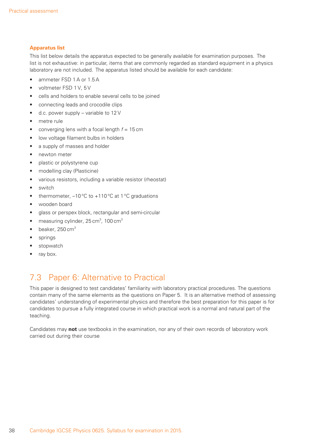#### **Apparatus list**

This list below details the apparatus expected to be generally available for examination purposes. The list is not exhaustive: in particular, items that are commonly regarded as standard equipment in a physics laboratory are not included. The apparatus listed should be available for each candidate:

- ammeter FSD 1A or 1.5A
- voltmeter FSD 1 V, 5 V
- cells and holders to enable several cells to be joined
- connecting leads and crocodile clips
- d.c. power supply variable to 12 V
- metre rule
- converging lens with a focal length *f* = 15 cm
- low voltage filament bulbs in holders
- a supply of masses and holder
- newton meter
- plastic or polystyrene cup
- modelling clay (Plasticine)
- various resistors, including a variable resistor (rheostat)
- switch
- thermometer,  $-10\degree C$  to  $+110\degree C$  at 1  $\degree C$  graduations
- wooden board
- glass or perspex block, rectangular and semi-circular
- measuring cylinder,  $25 \text{ cm}^3$ , 100  $\text{cm}^3$
- $\bullet$  beaker, 250 cm<sup>3</sup>
- springs
- stopwatch
- ray box.

## 7.3 Paper 6: Alternative to Practical

This paper is designed to test candidates' familiarity with laboratory practical procedures. The questions contain many of the same elements as the questions on Paper 5. It is an alternative method of assessing candidates' understanding of experimental physics and therefore the best preparation for this paper is for candidates to pursue a fully integrated course in which practical work is a normal and natural part of the teaching.

Candidates may **not** use textbooks in the examination, nor any of their own records of laboratory work carried out during their course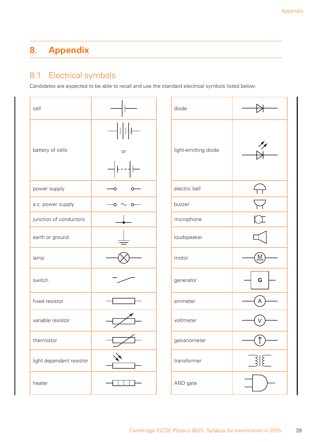## **8. Appendix**

## 8.1 Electrical symbols

Candidates are expected to be able to recall and use the standard electrical symbols listed below.

| cell                     |          | diode                |   |
|--------------------------|----------|----------------------|---|
| battery of cells         | or       | light-emitting diode |   |
| power supply             |          | electric bell        |   |
| a.c. power supply        | ັດ−<br>O | buzzer               |   |
| junction of conductors   |          | microphone           |   |
| earth or ground          |          | loudspeaker          |   |
| lamp                     |          | motor                | M |
| switch                   |          | generator            | G |
| fixed resistor           |          | ammeter              | A |
| variable resistor        |          | voltmeter            | V |
| thermistor               |          | galvanometer         |   |
| light dependent resistor |          | transformer          |   |
| heater                   |          | AND gate             |   |

| diode                |                          |
|----------------------|--------------------------|
| light-emitting diode |                          |
| electric bell        | $\leftrightarrow$        |
| buzzer               | $\overline{\mathcal{F}}$ |
| microphone           |                          |
| loudspeaker          |                          |
| motor                |                          |
| generator            | G                        |
| ammeter              | A                        |
| voltmeter            |                          |
| galvanometer         |                          |
| transformer          | $\frac{3}{5}$            |
| AND gate             |                          |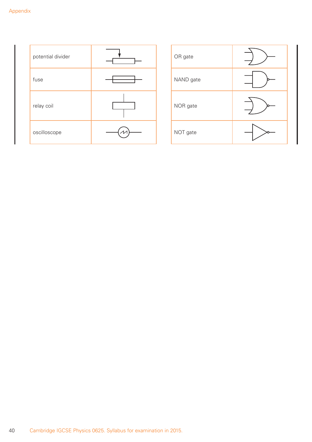| potential divider |  | OR gate   |
|-------------------|--|-----------|
| fuse              |  | NAND gate |
| relay coil        |  | NOR gate  |
| oscilloscope      |  | NOT gate  |

| OR gate   |  |
|-----------|--|
| NAND gate |  |
| NOR gate  |  |
| NOT gate  |  |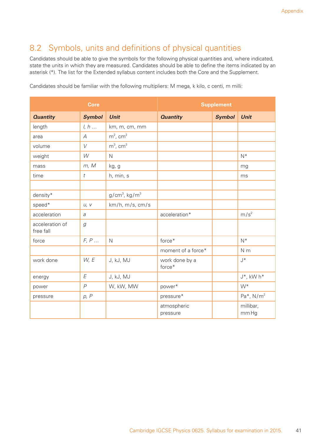## 8.2 Symbols, units and definitions of physical quantities

Candidates should be able to give the symbols for the following physical quantities and, where indicated, state the units in which they are measured. Candidates should be able to define the items indicated by an asterisk (\*). The list for the Extended syllabus content includes both the Core and the Supplement.

|                              | Core             |                              |                          | <b>Supplement</b> |                           |
|------------------------------|------------------|------------------------------|--------------------------|-------------------|---------------------------|
| <b>Quantity</b>              | <b>Symbol</b>    | <b>Unit</b>                  | <b>Quantity</b>          | <b>Symbol</b>     | <b>Unit</b>               |
| length                       | l, h             | km, m, cm, mm                |                          |                   |                           |
| area                         | $\mathcal{A}$    | $m^2$ , cm <sup>2</sup>      |                          |                   |                           |
| volume                       | V                | $m^3$ , cm <sup>3</sup>      |                          |                   |                           |
| weight                       | W                | $\mathsf{N}$                 |                          |                   | $N^*$                     |
| mass                         | m, M             | kg, g                        |                          |                   | mg                        |
| time                         | $\boldsymbol{t}$ | h, min, s                    |                          |                   | ms                        |
|                              |                  |                              |                          |                   |                           |
| density*                     |                  | $g/cm^3$ , kg/m <sup>3</sup> |                          |                   |                           |
| speed*                       | U, V             | km/h, m/s, cm/s              |                          |                   |                           |
| acceleration                 | a                |                              | acceleration*            |                   | m/s <sup>2</sup>          |
| acceleration of<br>free fall | g                |                              |                          |                   |                           |
| force                        | F, P             | $\mathsf{N}$                 | force*                   |                   | $N^*$                     |
|                              |                  |                              | moment of a force*       |                   | N <sub>m</sub>            |
| work done                    | W, E             | J, kJ, MJ                    | work done by a<br>force* |                   | $J^*$                     |
| energy                       | E                | J, kJ, MJ                    |                          |                   | $J^*$ , kW h <sup>*</sup> |
| power                        | $\overline{P}$   | W, kW, MW                    | power*                   |                   | $W^*$                     |
| pressure                     | p, P             |                              | pressure*                |                   | Pa <sup>*</sup> , $N/m2$  |
|                              |                  |                              | atmospheric<br>pressure  |                   | millibar,<br>mm Hg        |

Candidates should be familiar with the following multipliers: M mega, k kilo, c centi, m milli: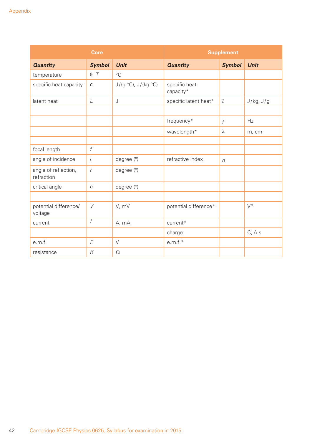|                                    | <b>Core</b>      |                          |                            | <b>Supplement</b> |             |
|------------------------------------|------------------|--------------------------|----------------------------|-------------------|-------------|
| <b>Quantity</b>                    | <b>Symbol</b>    | <b>Unit</b>              | <b>Quantity</b>            | <b>Symbol</b>     | <b>Unit</b> |
| temperature                        | $\theta$ , T     | $^{\circ}$ C             |                            |                   |             |
| specific heat capacity             | $\cal C$         | $J/(g °C)$ , $J/(kg °C)$ | specific heat<br>capacity* |                   |             |
| latent heat                        | L                | J                        | specific latent heat*      | l                 | J/kg, J/g   |
|                                    |                  |                          |                            |                   |             |
|                                    |                  |                          | frequency*                 | f                 | Hz          |
|                                    |                  |                          | wavelength*                | λ                 | m, cm       |
|                                    |                  |                          |                            |                   |             |
| focal length                       | $\boldsymbol{f}$ |                          |                            |                   |             |
| angle of incidence                 | $\dot{I}$        | degree (°)               | refractive index           | $\sqrt{n}$        |             |
| angle of reflection,<br>refraction | $\mathsf{r}$     | degree (°)               |                            |                   |             |
| critical angle                     | $\cal C$         | degree (°)               |                            |                   |             |
|                                    |                  |                          |                            |                   |             |
| potential difference/<br>voltage   | $\vee$           | V, mV                    | potential difference*      |                   | $V^*$       |
| current                            | $\cal I$         | A, mA                    | current*                   |                   |             |
|                                    |                  |                          | charge                     |                   | C, A s      |
| e.m.f.                             | E                | $\vee$                   | $e.m.f.*$                  |                   |             |
| resistance                         | $\cal R$         | Ω                        |                            |                   |             |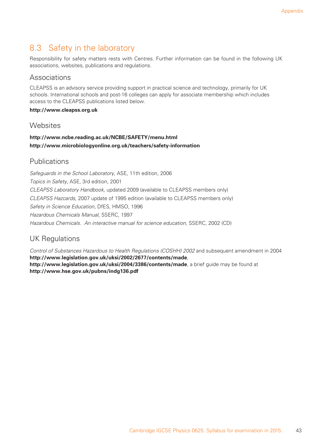## 8.3 Safety in the laboratory

Responsibility for safety matters rests with Centres. Further information can be found in the following UK associations, websites, publications and regulations.

#### Associations

CLEAPSS is an advisory service providing support in practical science and technology, primarily for UK schools. International schools and post-16 colleges can apply for associate membership which includes access to the CLEAPSS publications listed below.

#### **http://www.cleapss.org.uk**

#### **Websites**

#### **http://www.ncbe.reading.ac.uk/NCBE/SAFETY/menu.html http://www.microbiologyonline.org.uk/teachers/safety-information**

#### Publications

*Safeguards in the School Laboratory*, ASE, 11th edition, 2006 *Topics in Safety*, ASE, 3rd edition, 2001 *CLEAPSS Laboratory Handbook*, updated 2009 (available to CLEAPSS members only) *CLEAPSS Hazcards*, 2007 update of 1995 edition (available to CLEAPSS members only) *Safety in Science Education*, DfES, HMSO, 1996 *Hazardous Chemicals Manual*, SSERC, 1997 *Hazardous Chemicals. An interactive manual for science education*, SSERC, 2002 (CD)

## UK Regulations

*Control of Substances Hazardous to Health Regulations (COSHH) 2002* and subsequent amendment in 2004 **http://www.legislation.gov.uk/uksi/2002/2677/contents/made**, **http://www.legislation.gov.uk/uksi/2004/3386/contents/made**, a brief guide may be found at **http://www.hse.gov.uk/pubns/indg136.pdf**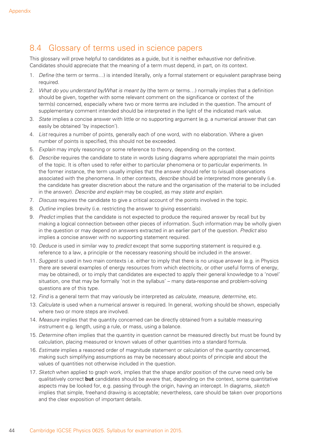## 8.4 Glossary of terms used in science papers

This glossary will prove helpful to candidates as a guide, but it is neither exhaustive nor definitive. Candidates should appreciate that the meaning of a term must depend, in part, on its context.

- 1. *Define* (the term or terms…) is intended literally, only a formal statement or equivalent paraphrase being required.
- 2. *What do you understand by/What is meant by* (the term or terms…) normally implies that a definition should be given, together with some relevant comment on the significance or context of the term(s) concerned, especially where two or more terms are included in the question. The amount of supplementary comment intended should be interpreted in the light of the indicated mark value.
- 3. *State* implies a concise answer with little or no supporting argument (e.g. a numerical answer that can easily be obtained 'by inspection').
- 4. *List* requires a number of points, generally each of one word, with no elaboration. Where a given number of points is specified, this should not be exceeded.
- 5. *Explain* may imply reasoning or some reference to theory, depending on the context.
- 6. *Describe* requires the candidate to state in words (using diagrams where appropriate) the main points of the topic. It is often used to refer either to particular phenomena or to particular experiments. In the former instance, the term usually implies that the answer should refer to (visual) observations associated with the phenomena. In other contexts, *describe* should be interpreted more generally (i.e. the candidate has greater discretion about the nature and the organisation of the material to be included in the answer). *Describe and explain* may be coupled, as may *state and explain*.
- 7. *Discuss* requires the candidate to give a critical account of the points involved in the topic.
- 8. *Outline* implies brevity (i.e. restricting the answer to giving essentials).
- 9. *Predict* implies that the candidate is not expected to produce the required answer by recall but by making a logical connection between other pieces of information. Such information may be wholly given in the question or may depend on answers extracted in an earlier part of the question. *Predict* also implies a concise answer with no supporting statement required.
- 10. *Deduce* is used in similar way to *predict* except that some supporting statement is required e.g. reference to a law, a principle or the necessary reasoning should be included in the answer.
- 11. *Suggest* is used in two main contexts i.e. either to imply that there is no unique answer (e.g. in Physics there are several examples of energy resources from which electricity, or other useful forms of energy, may be obtained), or to imply that candidates are expected to apply their general knowledge to a 'novel' situation, one that may be formally 'not in the syllabus' – many data-response and problem-solving questions are of this type.
- 12. *Find* is a general term that may variously be interpreted as *calculate*, *measure*, *determine*, etc.
- 13. *Calculate* is used when a numerical answer is required. In general, working should be shown, especially where two or more steps are involved.
- 14. *Measure* implies that the quantity concerned can be directly obtained from a suitable measuring instrument e.g. length, using a rule, or mass, using a balance.
- 15. *Determine* often implies that the quantity in question cannot be measured directly but must be found by calculation, placing measured or known values of other quantities into a standard formula.
- 16. *Estimate* implies a reasoned order of magnitude statement or calculation of the quantity concerned, making such simplifying assumptions as may be necessary about points of principle and about the values of quantities not otherwise included in the question.
- 17. *Sketch* when applied to graph work, implies that the shape and/or position of the curve need only be qualitatively correct **but** candidates should be aware that, depending on the context, some quantitative aspects may be looked for, e.g. passing through the origin, having an intercept. In diagrams, *sketch* implies that simple, freehand drawing is acceptable; nevertheless, care should be taken over proportions and the clear exposition of important details.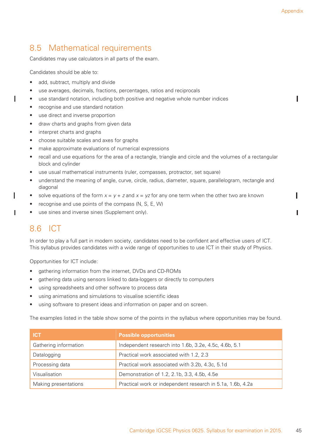ш

## 8.5 Mathematical requirements

Candidates may use calculators in all parts of the exam.

Candidates should be able to:

ı

- add, subtract, multiply and divide
- use averages, decimals, fractions, percentages, ratios and reciprocals
- use standard notation, including both positive and negative whole number indices
- recognise and use standard notation
- use direct and inverse proportion
- draw charts and graphs from given data
- interpret charts and graphs
- choose suitable scales and axes for graphs
- make approximate evaluations of numerical expressions
- recall and use equations for the area of a rectangle, triangle and circle and the volumes of a rectangular block and cylinder
- use usual mathematical instruments (ruler, compasses, protractor, set square)
- understand the meaning of angle, curve, circle, radius, diameter, square, parallelogram, rectangle and diagonal
- solve equations of the form  $x = y + z$  and  $x = yz$  for any one term when the other two are known
- recognise and use points of the compass (N, S, E, W)
- use sines and inverse sines (Supplement only).

## 8.6 ICT

In order to play a full part in modern society, candidates need to be confident and effective users of ICT. This syllabus provides candidates with a wide range of opportunities to use ICT in their study of Physics.

Opportunities for ICT include:

- gathering information from the internet, DVDs and CD-ROMs
- gathering data using sensors linked to data-loggers or directly to computers
- using spreadsheets and other software to process data
- using animations and simulations to visualise scientific ideas
- using software to present ideas and information on paper and on screen.

The examples listed in the table show some of the points in the syllabus where opportunities may be found.

| TICTZ                 | <b>Possible opportunities</b>                              |
|-----------------------|------------------------------------------------------------|
| Gathering information | Independent research into 1.6b, 3.2e, 4.5c, 4.6b, 5.1      |
| Datalogging           | Practical work associated with 1.2, 2.3                    |
| Processing data       | Practical work associated with 3.2b, 4.3c, 5.1d            |
| Visualisation         | Demonstration of 1.2, 2.1b, 3.3, 4.5b, 4.5e                |
| Making presentations  | Practical work or independent research in 5.1a, 1.6b, 4.2a |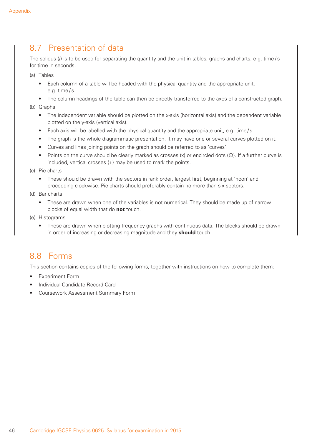## 8.7 Presentation of data

The solidus (/) is to be used for separating the quantity and the unit in tables, graphs and charts, e.g. time/s for time in seconds.

(a) Tables

- Each column of a table will be headed with the physical quantity and the appropriate unit, e.g. time/s.
- The column headings of the table can then be directly transferred to the axes of a constructed graph.

(b) Graphs

- The independent variable should be plotted on the x-axis (horizontal axis) and the dependent variable plotted on the y-axis (vertical axis).
- Each axis will be labelled with the physical quantity and the appropriate unit, e.g. time/s.
- The graph is the whole diagrammatic presentation. It may have one or several curves plotted on it.
- Curves and lines joining points on the graph should be referred to as 'curves'.
- Points on the curve should be clearly marked as crosses  $(x)$  or encircled dots  $(O)$ . If a further curve is included, vertical crosses (+) may be used to mark the points.

(c) Pie charts

- These should be drawn with the sectors in rank order, largest first, beginning at 'noon' and proceeding clockwise. Pie charts should preferably contain no more than six sectors.
- (d) Bar charts
	- These are drawn when one of the variables is not numerical. They should be made up of narrow blocks of equal width that do **not** touch.
- (e) Histograms
	- These are drawn when plotting frequency graphs with continuous data. The blocks should be drawn in order of increasing or decreasing magnitude and they **should** touch.

## 8.8 Forms

This section contains copies of the following forms, together with instructions on how to complete them:

- **Experiment Form**
- Individual Candidate Record Card
- Coursework Assessment Summary Form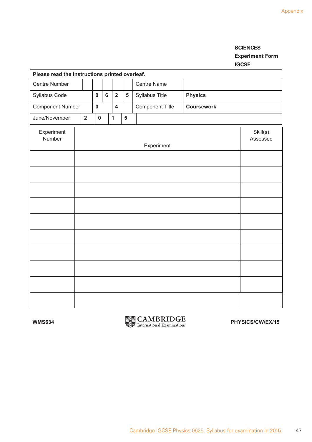#### **SCIENCES Experiment Form IGCSE**

| Please read the mstructions printed overlear. |                         |           |                      |                |                         |   |                 |                   |  |  |  |  |  |
|-----------------------------------------------|-------------------------|-----------|----------------------|----------------|-------------------------|---|-----------------|-------------------|--|--|--|--|--|
| Centre Number                                 |                         |           |                      |                |                         |   | Centre Name     |                   |  |  |  |  |  |
| Syllabus Code                                 |                         |           | $\mathbf 0$          | $6\phantom{a}$ | $\overline{2}$          | 5 | Syllabus Title  | <b>Physics</b>    |  |  |  |  |  |
| <b>Component Number</b>                       |                         |           | $\mathbf 0$          |                | $\overline{\mathbf{4}}$ |   | Component Title | <b>Coursework</b> |  |  |  |  |  |
| June/November                                 | $\overline{\mathbf{2}}$ | $\pmb{0}$ |                      | $\mathbf{1}$   | 5                       |   |                 |                   |  |  |  |  |  |
| Experiment<br>Number                          |                         |           | Skill(s)<br>Assessed |                |                         |   |                 |                   |  |  |  |  |  |
|                                               |                         |           |                      |                |                         |   |                 |                   |  |  |  |  |  |
|                                               |                         |           |                      |                |                         |   |                 |                   |  |  |  |  |  |
|                                               |                         |           |                      |                |                         |   |                 |                   |  |  |  |  |  |
|                                               |                         |           |                      |                |                         |   |                 |                   |  |  |  |  |  |
|                                               |                         |           |                      |                |                         |   |                 |                   |  |  |  |  |  |
|                                               |                         |           |                      |                |                         |   |                 |                   |  |  |  |  |  |
|                                               |                         |           |                      |                |                         |   |                 |                   |  |  |  |  |  |
|                                               |                         |           |                      |                |                         |   |                 |                   |  |  |  |  |  |
|                                               |                         |           |                      |                |                         |   |                 |                   |  |  |  |  |  |
|                                               |                         |           |                      |                |                         |   |                 |                   |  |  |  |  |  |

#### **Please read the instructions printed overleaf.**

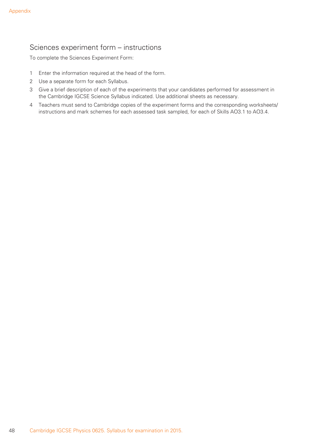## Sciences experiment form – instructions

To complete the Sciences Experiment Form:

- 1 Enter the information required at the head of the form.
- 2 Use a separate form for each Syllabus.
- 3 Give a brief description of each of the experiments that your candidates performed for assessment in the Cambridge IGCSE Science Syllabus indicated. Use additional sheets as necessary.
- 4 Teachers must send to Cambridge copies of the experiment forms and the corresponding worksheets/ instructions and mark schemes for each assessed task sampled, for each of Skills AO3.1 to AO3.4.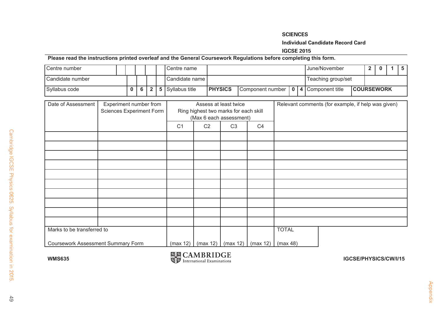#### **SCIENCESIndividual Candidate Record Card**

#### **IGCSE 2015**

#### **Please read the instructions printed overleaf and the General Coursework Regulations before completing this form.**

| l Centre number  |  |  |  | l Centre name                           | l June/November                                              |  |  |  |                    |  |  |  |
|------------------|--|--|--|-----------------------------------------|--------------------------------------------------------------|--|--|--|--------------------|--|--|--|
| Candidate number |  |  |  | l Candidate name I                      |                                                              |  |  |  | Teaching group/set |  |  |  |
| Syllabus code    |  |  |  | $0 \mid 6 \mid 2 \mid 5$ Syllabus title | Component number   0   4   Component title<br><b>PHYSICS</b> |  |  |  | <b>COURSEWORK</b>  |  |  |  |

| Date of Assessment                 | Experiment number from<br>Sciences Experiment Form |                |                | Assess at least twice<br>Ring highest two marks for each skill<br>(Max 6 each assessment) |                | Relevant comments (for example, if help was given) |
|------------------------------------|----------------------------------------------------|----------------|----------------|-------------------------------------------------------------------------------------------|----------------|----------------------------------------------------|
|                                    |                                                    | C <sub>1</sub> | C <sub>2</sub> | C <sub>3</sub>                                                                            | C <sub>4</sub> |                                                    |
|                                    |                                                    |                |                |                                                                                           |                |                                                    |
|                                    |                                                    |                |                |                                                                                           |                |                                                    |
|                                    |                                                    |                |                |                                                                                           |                |                                                    |
|                                    |                                                    |                |                |                                                                                           |                |                                                    |
|                                    |                                                    |                |                |                                                                                           |                |                                                    |
|                                    |                                                    |                |                |                                                                                           |                |                                                    |
|                                    |                                                    |                |                |                                                                                           |                |                                                    |
|                                    |                                                    |                |                |                                                                                           |                |                                                    |
|                                    |                                                    |                |                |                                                                                           |                |                                                    |
|                                    |                                                    |                |                |                                                                                           |                |                                                    |
| Marks to be transferred to         |                                                    |                |                |                                                                                           |                | <b>TOTAL</b>                                       |
| Coursework Assessment Summary Form |                                                    | (max 12)       |                | (max 12)   (max 12)                                                                       | (max 12)       | (max 48)                                           |

**WMS635**

**IGCSE/PHYSICS/CW/I/15**<br> **IGCSE/PHYSICS/CW/I/15** 

 $49$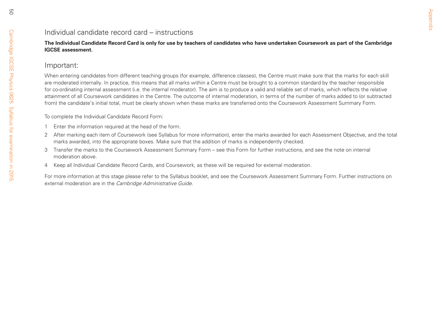50

# Appendix

Individual candidate record card – instructions<br>
The Individual Candidate Record Card is only for use by teachers of candidates who have undertaken Coursework as part of the Cambridge<br>
IGSE Sessessment.<br>
More entering can

- 
- 
- 
-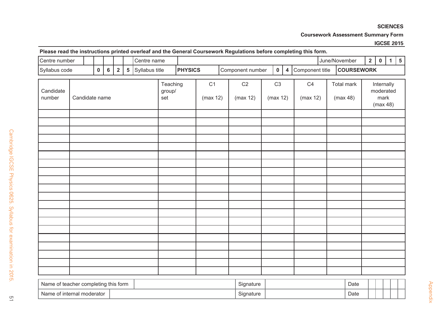#### **SCIENCES**

**Coursework Assessment Summary Form**

#### **IGCSE 2015**

#### **Please read the instructions printed overleaf and the General Coursework Regulations before completing this form.**

| Centre number       |                |  |              |                           |                |                | Centre name    |                                              |                |                            |                  | $\tilde{\phantom{a}}$ |             |                         |                        | $\tilde{\phantom{a}}$ | June/November                               | 2 | $\mathbf 0$ | $\mathbf{1}$ | $5\overline{5}$ |
|---------------------|----------------|--|--------------|---------------------------|----------------|----------------|----------------|----------------------------------------------|----------------|----------------------------|------------------|-----------------------|-------------|-------------------------|------------------------|-----------------------|---------------------------------------------|---|-------------|--------------|-----------------|
| Syllabus code       |                |  | $\mathbf{0}$ | $6\overline{6}$           | $\overline{2}$ | $5\phantom{a}$ | Syllabus title |                                              | <b>PHYSICS</b> |                            | Component number |                       | $\mathbf 0$ | $\overline{\mathbf{4}}$ | Component title        | <b>COURSEWORK</b>     |                                             |   |             |              |                 |
| Candidate<br>number | Candidate name |  |              | Teaching<br>group/<br>set |                | C1<br>(max 12) |                | C <sub>2</sub><br>C <sub>3</sub><br>(max 12) |                | C4<br>(max 12)<br>(max 12) |                  |                       |             |                         | Total mark<br>(max 48) |                       | Internally<br>moderated<br>mark<br>(max 48) |   |             |              |                 |
|                     |                |  |              |                           |                |                |                |                                              |                |                            |                  |                       |             |                         |                        |                       |                                             |   |             |              |                 |
|                     |                |  |              |                           |                |                |                |                                              |                |                            |                  |                       |             |                         |                        |                       |                                             |   |             |              |                 |
|                     |                |  |              |                           |                |                |                |                                              |                |                            |                  |                       |             |                         |                        |                       |                                             |   |             |              |                 |
|                     |                |  |              |                           |                |                |                |                                              |                |                            |                  |                       |             |                         |                        |                       |                                             |   |             |              |                 |
|                     |                |  |              |                           |                |                |                |                                              |                |                            |                  |                       |             |                         |                        |                       |                                             |   |             |              |                 |
|                     |                |  |              |                           |                |                |                |                                              |                |                            |                  |                       |             |                         |                        |                       |                                             |   |             |              |                 |

| t teacher completing this form<br>Name | $\sim$<br>Signature | Date<br>- - - |  |  |
|----------------------------------------|---------------------|---------------|--|--|
| Name<br>e of internal moderator        | Signature           | Date          |  |  |

 $\overline{a}$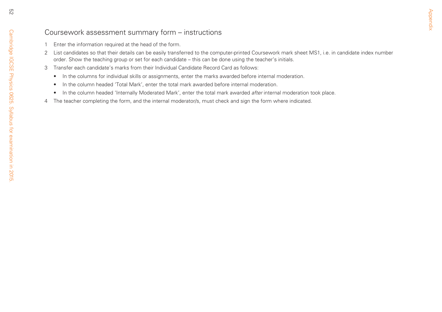- 
- Coursewoork assessment summary form instructions<br>
1 Enter the information required at the lead of the form.<br>
2 List candidates so that rided that details can be easily transferred to the computer-primated Coursework mar
	- -
		-
		-
	-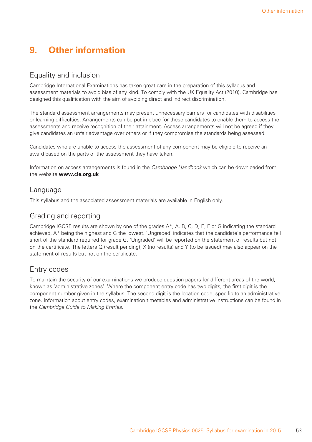## **9. Other information**

## Equality and inclusion

Cambridge International Examinations has taken great care in the preparation of this syllabus and assessment materials to avoid bias of any kind. To comply with the UK Equality Act (2010), Cambridge has designed this qualification with the aim of avoiding direct and indirect discrimination.

The standard assessment arrangements may present unnecessary barriers for candidates with disabilities or learning difficulties. Arrangements can be put in place for these candidates to enable them to access the assessments and receive recognition of their attainment. Access arrangements will not be agreed if they give candidates an unfair advantage over others or if they compromise the standards being assessed.

Candidates who are unable to access the assessment of any component may be eligible to receive an award based on the parts of the assessment they have taken.

Information on access arrangements is found in the *Cambridge Handbook* which can be downloaded from the website **www.cie.org.uk**

#### Language

This syllabus and the associated assessment materials are available in English only.

## Grading and reporting

Cambridge IGCSE results are shown by one of the grades A\*, A, B, C, D, E, F or G indicating the standard achieved, A\* being the highest and G the lowest. 'Ungraded' indicates that the candidate's performance fell short of the standard required for grade G. 'Ungraded' will be reported on the statement of results but not on the certificate. The letters Q (result pending); X (no results) and Y (to be issued) may also appear on the statement of results but not on the certificate.

## Entry codes

To maintain the security of our examinations we produce question papers for different areas of the world. known as 'administrative zones'. Where the component entry code has two digits, the first digit is the component number given in the syllabus. The second digit is the location code, specific to an administrative zone. Information about entry codes, examination timetables and administrative instructions can be found in the *Cambridge Guide to Making Entries*.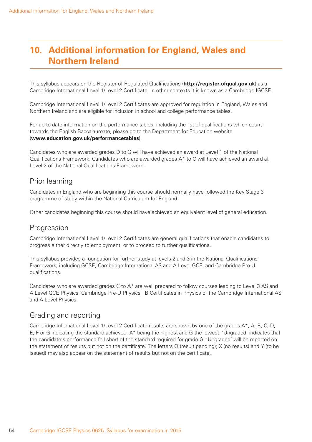## **10. Additional information for England, Wales and Northern Ireland**

This syllabus appears on the Register of Regulated Qualifications (**http://register.ofqual.gov.uk**) as a Cambridge International Level 1/Level 2 Certificate. In other contexts it is known as a Cambridge IGCSE..

Cambridge International Level 1/Level 2 Certificates are approved for regulation in England, Wales and Northern Ireland and are eligible for inclusion in school and college performance tables.

For up-to-date information on the performance tables, including the list of qualifications which count towards the English Baccalaureate, please go to the Department for Education website (**www.education.gov.uk/performancetables**).

Candidates who are awarded grades D to G will have achieved an award at Level 1 of the National Qualifications Framework. Candidates who are awarded grades A\* to C will have achieved an award at Level 2 of the National Qualifications Framework.

#### Prior learning

Candidates in England who are beginning this course should normally have followed the Key Stage 3 programme of study within the National Curriculum for England.

Other candidates beginning this course should have achieved an equivalent level of general education.

#### **Progression**

Cambridge International Level 1/Level 2 Certificates are general qualifications that enable candidates to progress either directly to employment, or to proceed to further qualifications.

This syllabus provides a foundation for further study at levels 2 and 3 in the National Qualifications Framework, including GCSE, Cambridge International AS and A Level GCE, and Cambridge Pre-U qualifications.

Candidates who are awarded grades C to A\* are well prepared to follow courses leading to Level 3 AS and A Level GCE Physics, Cambridge Pre-U Physics, IB Certificates in Physics or the Cambridge International AS and A Level Physics.

## Grading and reporting

Cambridge International Level 1/Level 2 Certificate results are shown by one of the grades A\*, A, B, C, D, E, F or G indicating the standard achieved, A\* being the highest and G the lowest. 'Ungraded' indicates that the candidate's performance fell short of the standard required for grade G. 'Ungraded' will be reported on the statement of results but not on the certificate. The letters Q (result pending); X (no results) and Y (to be issued) may also appear on the statement of results but not on the certificate.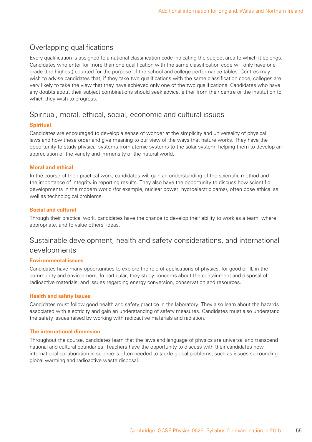## Overlapping qualifications

Every qualification is assigned to a national classification code indicating the subject area to which it belongs. Candidates who enter for more than one qualification with the same classification code will only have one grade (the highest) counted for the purpose of the school and college performance tables. Centres may wish to advise candidates that, if they take two qualifications with the same classification code, colleges are very likely to take the view that they have achieved only one of the two qualifications. Candidates who have any doubts about their subject combinations should seek advice, either from their centre or the institution to which they wish to progress.

#### Spiritual, moral, ethical, social, economic and cultural issues

#### **Spiritual**

Candidates are encouraged to develop a sense of wonder at the simplicity and universality of physical laws and how these order and give meaning to our view of the ways that nature works. They have the opportunity to study physical systems from atomic systems to the solar system, helping them to develop an appreciation of the variety and immensity of the natural world.

#### **Moral and ethical**

In the course of their practical work, candidates will gain an understanding of the scientific method and the importance of integrity in reporting results. They also have the opportunity to discuss how scientific developments in the modern world (for example, nuclear power, hydroelectric dams), often pose ethical as well as technological problems.

#### **Social and cultural**

Through their practical work, candidates have the chance to develop their ability to work as a team, where appropriate, and to value others' ideas.

#### Sustainable development, health and safety considerations, and international developments

#### **Environmental issues**

Candidates have many opportunities to explore the role of applications of physics, for good or ill, in the community and environment. In particular, they study concerns about the containment and disposal of radioactive materials, and issues regarding energy conversion, conservation and resources.

#### **Health and safety issues**

Candidates must follow good health and safety practice in the laboratory. They also learn about the hazards associated with electricity and gain an understanding of safety measures. Candidates must also understand the safety issues raised by working with radioactive materials and radiation.

#### **The international dimension**

Throughout the course, candidates learn that the laws and language of physics are universal and transcend national and cultural boundaries. Teachers have the opportunity to discuss with their candidates how international collaboration in science is often needed to tackle global problems, such as issues surrounding global warming and radioactive waste disposal.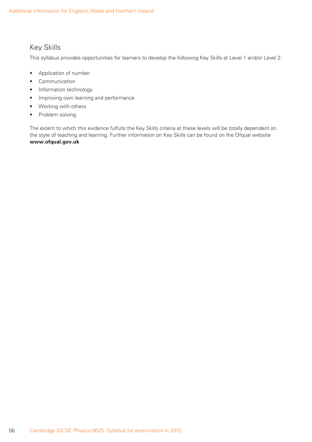## Key Skills

This syllabus provides opportunities for learners to develop the following Key Skills at Level 1 and/or Level 2:

- Application of number
- Communication
- Information technology
- Improving own learning and performance
- Working with others
- Problem solving.

The extent to which this evidence fulfulls the Key Skills criteria at these levels will be totally dependent on the style of teaching and learning. Further information on Key Skills can be found on the Ofqual website **www.ofqual.gov.uk**